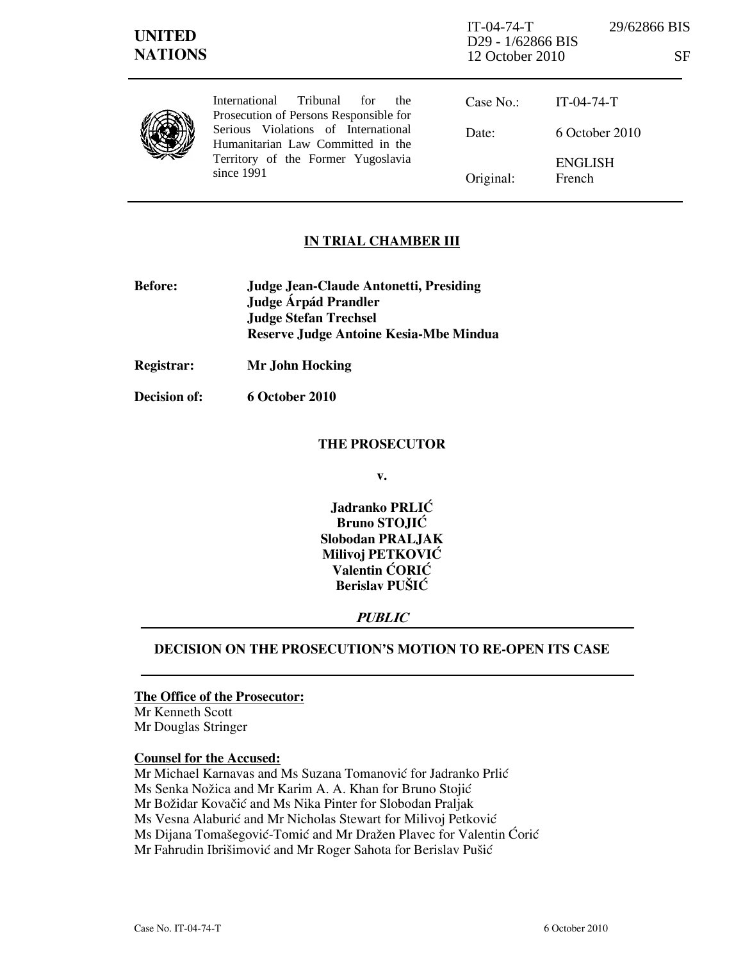| <b>UNITED</b><br><b>NATIONS</b> |                                                                                                                                                                                                                          | $IT-04-74-T$<br>D29 - 1/62866 BIS<br>12 October 2010 | 29/62866 BIS             | SF |
|---------------------------------|--------------------------------------------------------------------------------------------------------------------------------------------------------------------------------------------------------------------------|------------------------------------------------------|--------------------------|----|
|                                 | Tribunal<br><i>International</i><br>for<br>the<br>Prosecution of Persons Responsible for<br>Serious Violations of International<br>Humanitarian Law Committed in the<br>Territory of the Former Yugoslavia<br>since 1991 | Case No.:                                            | $IT-04-74-T$             |    |
|                                 |                                                                                                                                                                                                                          | Date:                                                | $6$ October 2010         |    |
|                                 |                                                                                                                                                                                                                          | Original:                                            | <b>ENGLISH</b><br>French |    |

## IN TRIAL CHAMBER III

- Before: Judge Jean-Claude Antonetti, Presiding Judge Árpád Prandler Judge Stefan Trechsel Reserve Judge Antoine Kesia-Mbe Mindua
- Registrar: Mr John Hocking

Decision of: 6 October 2010

## THE PROSECUTOR

v.

Jadranko PRLIĆ Bruno STOJIĆ Slobodan PRALJAK Milivoj PETKOVIĆ Valentin CORIC Berislav PUŠIĆ

## PUBLIC

## DECISION ON THE PROSECUTION'S MOTION TO RE-OPEN ITS CASE

## The Office of the Prosecutor:

Mr Kenneth Scott Mr Douglas Stringer

## Counsel for the Accused:

Mr Michael Karnavas and Ms Suzana Tomanović for Jadranko Prlić Ms Senka Nožica and Mr Karim A. A. Khan for Bruno Stojić Mr Božidar Kovačić and Ms Nika Pinter for Slobodan Praljak Ms Vesna Alaburić and Mr Nicholas Stewart for Milivoj Petković Ms Dijana Tomašegović-Tomić and Mr Dražen Plavec for Valentin Ćorić Mr Fahrudin Ibrišimović and Mr Roger Sahota for Berislav Pušić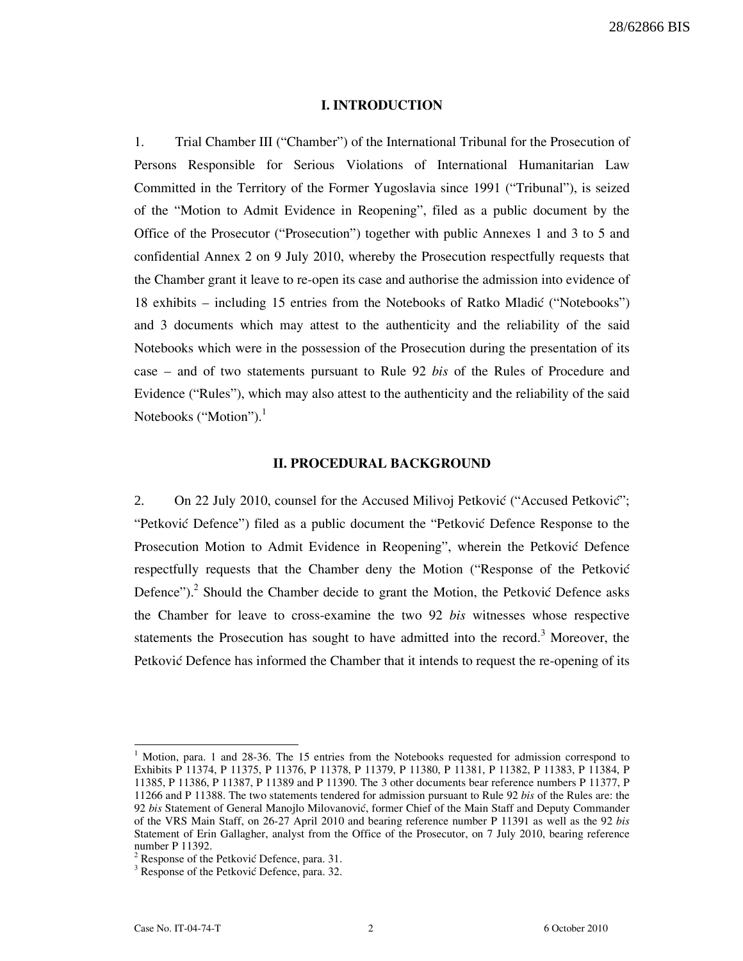#### I. INTRODUCTION

1. Trial Chamber III ("Chamber") of the International Tribunal for the Prosecution of Persons Responsible for Serious Violations of International Humanitarian Law Committed in the Territory of the Former Yugoslavia since 1991 ("Tribunal"), is seized of the "Motion to Admit Evidence in Reopening", filed as a public document by the Office of the Prosecutor ("Prosecution") together with public Annexes 1 and 3 to 5 and confidential Annex 2 on 9 July 2010, whereby the Prosecution respectfully requests that the Chamber grant it leave to re-open its case and authorise the admission into evidence of 18 exhibits – including 15 entries from the Notebooks of Ratko Mladić ("Notebooks") and 3 documents which may attest to the authenticity and the reliability of the said Notebooks which were in the possession of the Prosecution during the presentation of its case – and of two statements pursuant to Rule 92 bis of the Rules of Procedure and Evidence ("Rules"), which may also attest to the authenticity and the reliability of the said Notebooks ("Motion"). $<sup>1</sup>$ </sup>

#### II. PROCEDURAL BACKGROUND

2. On 22 July 2010, counsel for the Accused Milivoj Petković ("Accused Petković"; "Petković Defence") filed as a public document the "Petković Defence Response to the Prosecution Motion to Admit Evidence in Reopening", wherein the Petković Defence respectfully requests that the Chamber deny the Motion ("Response of the Petković Defence").<sup>2</sup> Should the Chamber decide to grant the Motion, the Petković Defence asks the Chamber for leave to cross-examine the two 92 bis witnesses whose respective statements the Prosecution has sought to have admitted into the record.<sup>3</sup> Moreover, the Petković Defence has informed the Chamber that it intends to request the re-opening of its

<sup>1</sup> Motion, para. 1 and 28-36. The 15 entries from the Notebooks requested for admission correspond to Exhibits P 11374, P 11375, P 11376, P 11378, P 11379, P 11380, P 11381, P 11382, P 11383, P 11384, P 11385, P 11386, P 11387, P 11389 and P 11390. The 3 other documents bear reference numbers P 11377, P 11266 and P 11388. The two statements tendered for admission pursuant to Rule 92 bis of the Rules are: the 92 bis Statement of General Manojlo Milovanović, former Chief of the Main Staff and Deputy Commander of the VRS Main Staff, on 26-27 April 2010 and bearing reference number P 11391 as well as the 92 bis Statement of Erin Gallagher, analyst from the Office of the Prosecutor, on 7 July 2010, bearing reference number P 11392.

 $2^2$  Response of the Petković Defence, para. 31.

<sup>&</sup>lt;sup>3</sup> Response of the Petković Defence, para. 32.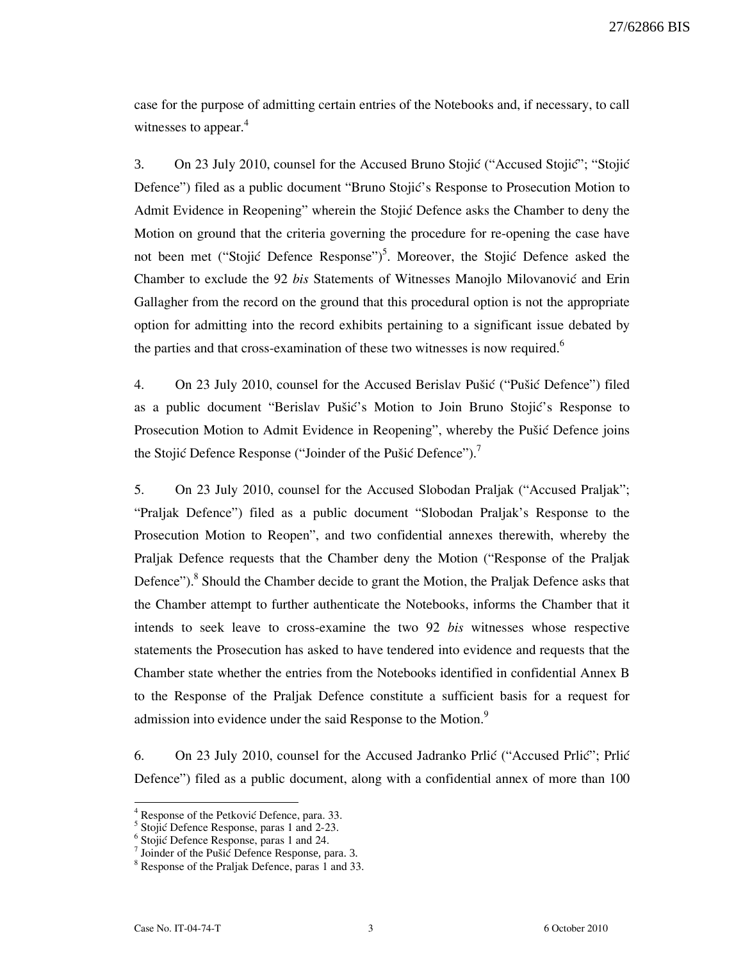case for the purpose of admitting certain entries of the Notebooks and, if necessary, to call witnesses to appear.<sup>4</sup>

3. On 23 July 2010, counsel for the Accused Bruno Stojić ("Accused Stojić"; "Stojić" Defence") filed as a public document "Bruno Stojić's Response to Prosecution Motion to Admit Evidence in Reopening" wherein the Stojić Defence asks the Chamber to deny the Motion on ground that the criteria governing the procedure for re-opening the case have not been met ("Stojić Defence Response")<sup>5</sup>. Moreover, the Stojić Defence asked the Chamber to exclude the 92 bis Statements of Witnesses Manojlo Milovanović and Erin Gallagher from the record on the ground that this procedural option is not the appropriate option for admitting into the record exhibits pertaining to a significant issue debated by the parties and that cross-examination of these two witnesses is now required.<sup>6</sup>

4. On 23 July 2010, counsel for the Accused Berislav Pušić ("Pušić Defence") filed as a public document "Berislav Pušić's Motion to Join Bruno Stojić's Response to Prosecution Motion to Admit Evidence in Reopening", whereby the Pušić Defence joins the Stojić Defence Response ("Joinder of the Pušić Defence").<sup>7</sup>

5. On 23 July 2010, counsel for the Accused Slobodan Praljak ("Accused Praljak"; "Praljak Defence") filed as a public document "Slobodan Praljak's Response to the Prosecution Motion to Reopen", and two confidential annexes therewith, whereby the Praljak Defence requests that the Chamber deny the Motion ("Response of the Praljak Defence").<sup>8</sup> Should the Chamber decide to grant the Motion, the Praljak Defence asks that the Chamber attempt to further authenticate the Notebooks, informs the Chamber that it intends to seek leave to cross-examine the two 92 bis witnesses whose respective statements the Prosecution has asked to have tendered into evidence and requests that the Chamber state whether the entries from the Notebooks identified in confidential Annex B to the Response of the Praljak Defence constitute a sufficient basis for a request for admission into evidence under the said Response to the Motion.<sup>9</sup>

6. On 23 July 2010, counsel for the Accused Jadranko Prlić ("Accused Prlić"; Prlić Defence") filed as a public document, along with a confidential annex of more than 100

<sup>4</sup> Response of the Petković Defence, para. 33.

 $<sup>5</sup>$  Stojić Defence Response, paras 1 and 2-23.</sup>

 $6$  Stojić Defence Response, paras 1 and 24.

 $7$  Joinder of the Pušic Defence Response, para. 3.

<sup>&</sup>lt;sup>8</sup> Response of the Praljak Defence, paras 1 and 33.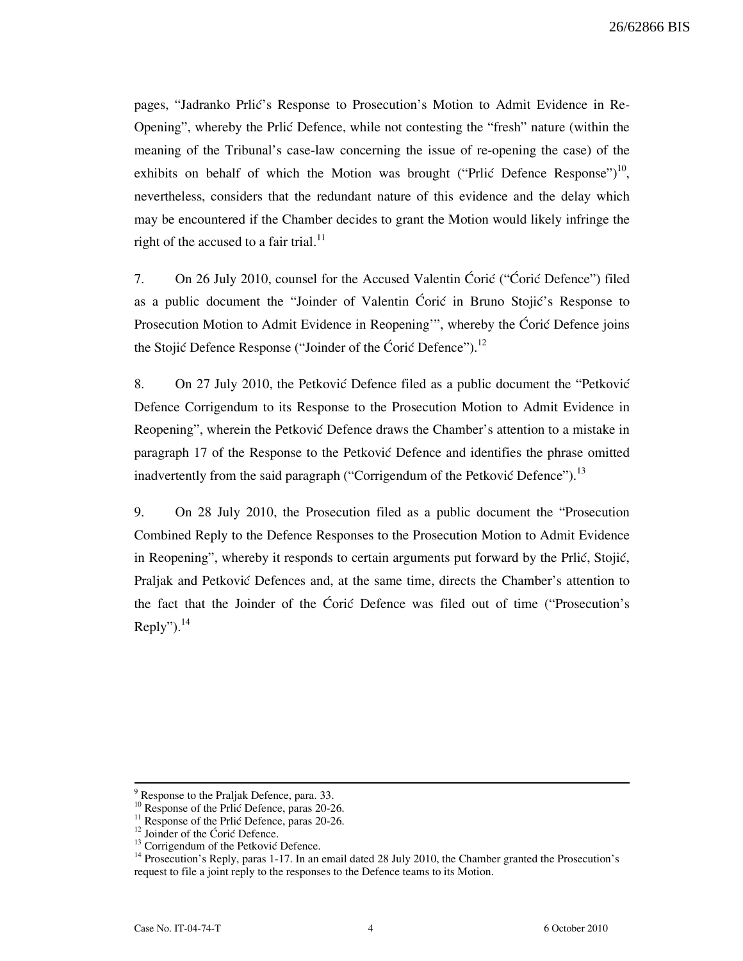pages, "Jadranko Prlić's Response to Prosecution's Motion to Admit Evidence in Re-Opening", whereby the Prlić Defence, while not contesting the "fresh" nature (within the meaning of the Tribunal's case-law concerning the issue of re-opening the case) of the exhibits on behalf of which the Motion was brought ("Prlić Defence Response")<sup>10</sup>, nevertheless, considers that the redundant nature of this evidence and the delay which may be encountered if the Chamber decides to grant the Motion would likely infringe the right of the accused to a fair trial.<sup>11</sup>

7. On 26 July 2010, counsel for the Accused Valentin Coric ("Coric Defence") filed as a public document the "Joinder of Valentin Coric in Bruno Stojic's Response to Prosecution Motion to Admit Evidence in Reopening", whereby the Ćorić Defence joins the Stojić Defence Response ("Joinder of the Ćorić Defence").<sup>12</sup>

8. On 27 July 2010, the Petković Defence filed as a public document the "Petković" Defence Corrigendum to its Response to the Prosecution Motion to Admit Evidence in Reopening", wherein the Petković Defence draws the Chamber's attention to a mistake in paragraph 17 of the Response to the Petković Defence and identifies the phrase omitted inadvertently from the said paragraph ("Corrigendum of the Petković Defence").<sup>13</sup>

9. On 28 July 2010, the Prosecution filed as a public document the "Prosecution Combined Reply to the Defence Responses to the Prosecution Motion to Admit Evidence in Reopening", whereby it responds to certain arguments put forward by the Prlić, Stojić, Praljak and Petković Defences and, at the same time, directs the Chamber's attention to the fact that the Joinder of the Ćorić Defence was filed out of time ("Prosecution's Reply"). $^{14}$ 

<sup>&</sup>lt;sup>9</sup> Response to the Praljak Defence, para. 33.

Response of the Prlić Defence, paras 20-26.

 $11$  Response of the Prlić Defence, paras 20-26.

 $^{12}$  Joinder of the Ćorić Defence.

 $13$  Corrigendum of the Petković Defence.

<sup>&</sup>lt;sup>14</sup> Prosecution's Reply, paras 1-17. In an email dated 28 July 2010, the Chamber granted the Prosecution's request to file a joint reply to the responses to the Defence teams to its Motion.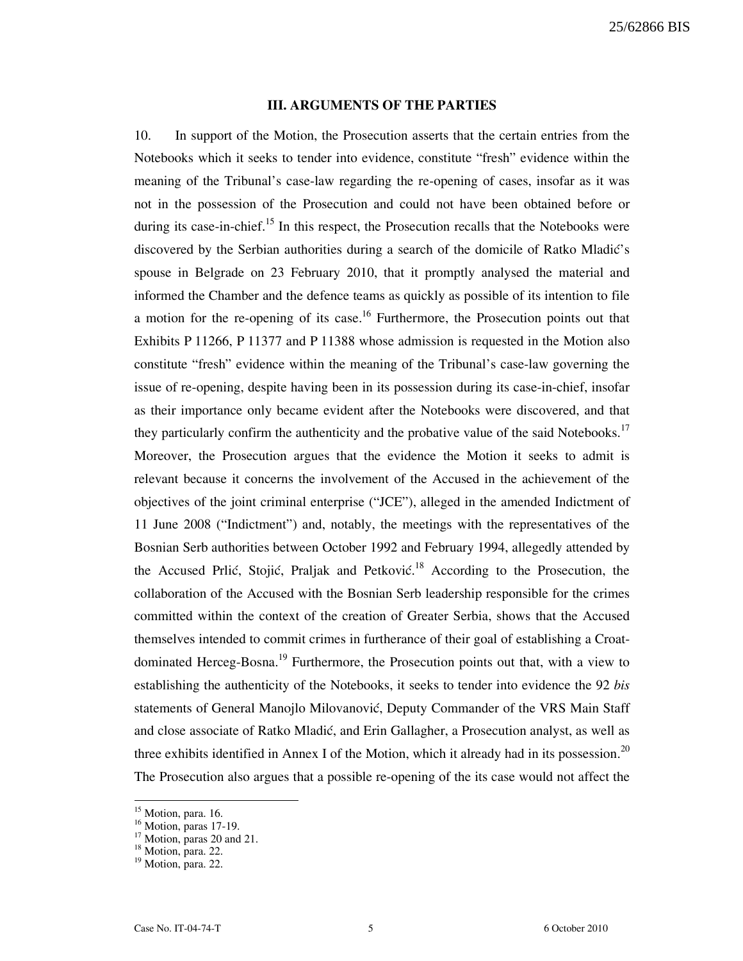#### III. ARGUMENTS OF THE PARTIES

10. In support of the Motion, the Prosecution asserts that the certain entries from the Notebooks which it seeks to tender into evidence, constitute "fresh" evidence within the meaning of the Tribunal's case-law regarding the re-opening of cases, insofar as it was not in the possession of the Prosecution and could not have been obtained before or during its case-in-chief.<sup>15</sup> In this respect, the Prosecution recalls that the Notebooks were discovered by the Serbian authorities during a search of the domicile of Ratko Mladić's spouse in Belgrade on 23 February 2010, that it promptly analysed the material and informed the Chamber and the defence teams as quickly as possible of its intention to file a motion for the re-opening of its case.<sup>16</sup> Furthermore, the Prosecution points out that Exhibits P 11266, P 11377 and P 11388 whose admission is requested in the Motion also constitute "fresh" evidence within the meaning of the Tribunal's case-law governing the issue of re-opening, despite having been in its possession during its case-in-chief, insofar as their importance only became evident after the Notebooks were discovered, and that they particularly confirm the authenticity and the probative value of the said Notebooks.<sup>17</sup> Moreover, the Prosecution argues that the evidence the Motion it seeks to admit is relevant because it concerns the involvement of the Accused in the achievement of the objectives of the joint criminal enterprise ("JCE"), alleged in the amended Indictment of 11 June 2008 ("Indictment") and, notably, the meetings with the representatives of the Bosnian Serb authorities between October 1992 and February 1994, allegedly attended by the Accused Prlić, Stojić, Praljak and Petković.<sup>18</sup> According to the Prosecution, the collaboration of the Accused with the Bosnian Serb leadership responsible for the crimes committed within the context of the creation of Greater Serbia, shows that the Accused themselves intended to commit crimes in furtherance of their goal of establishing a Croatdominated Herceg-Bosna.<sup>19</sup> Furthermore, the Prosecution points out that, with a view to establishing the authenticity of the Notebooks, it seeks to tender into evidence the 92 bis statements of General Manojlo Milovanović, Deputy Commander of the VRS Main Staff and close associate of Ratko Mladić, and Erin Gallagher, a Prosecution analyst, as well as three exhibits identified in Annex I of the Motion, which it already had in its possession.<sup>20</sup> The Prosecution also argues that a possible re-opening of the its case would not affect the

 $\overline{\phantom{a}}$ 

<sup>&</sup>lt;sup>15</sup> Motion, para. 16.

 $16$  Motion, paras 17-19.

 $17$  Motion, paras 20 and 21.

 $18$  Motion, para. 22.

 $19$  Motion, para. 22.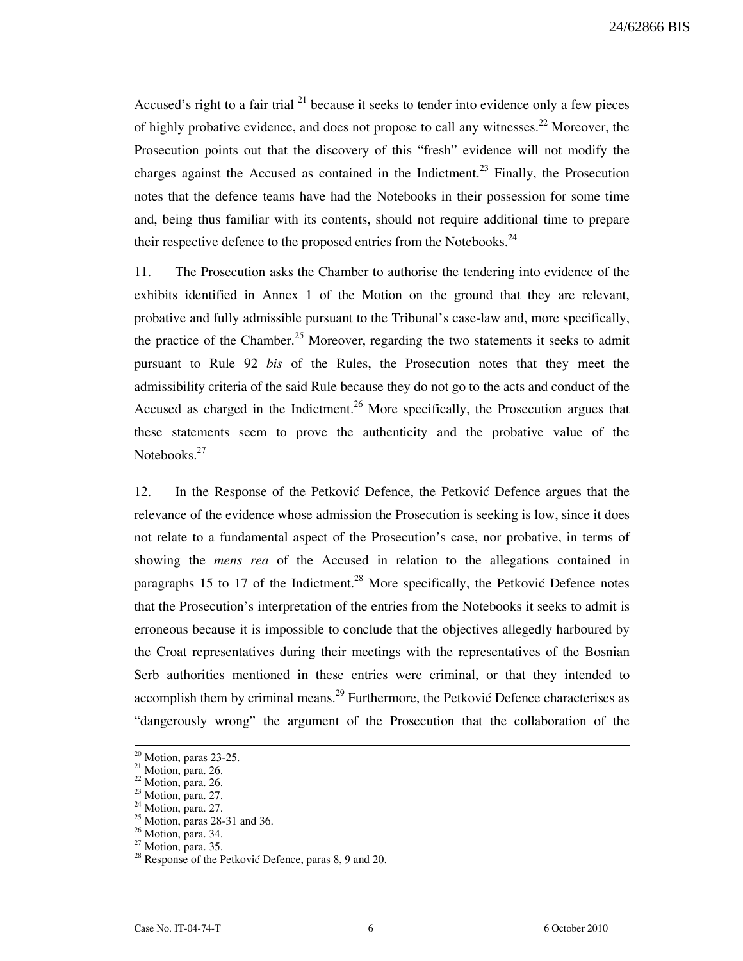Accused's right to a fair trial  $^{21}$  because it seeks to tender into evidence only a few pieces of highly probative evidence, and does not propose to call any witnesses.<sup>22</sup> Moreover, the Prosecution points out that the discovery of this "fresh" evidence will not modify the charges against the Accused as contained in the Indictment.<sup>23</sup> Finally, the Prosecution notes that the defence teams have had the Notebooks in their possession for some time and, being thus familiar with its contents, should not require additional time to prepare their respective defence to the proposed entries from the Notebooks.<sup>24</sup>

11. The Prosecution asks the Chamber to authorise the tendering into evidence of the exhibits identified in Annex 1 of the Motion on the ground that they are relevant, probative and fully admissible pursuant to the Tribunal's case-law and, more specifically, the practice of the Chamber.<sup>25</sup> Moreover, regarding the two statements it seeks to admit pursuant to Rule 92 bis of the Rules, the Prosecution notes that they meet the admissibility criteria of the said Rule because they do not go to the acts and conduct of the Accused as charged in the Indictment.<sup>26</sup> More specifically, the Prosecution argues that these statements seem to prove the authenticity and the probative value of the Notebooks.<sup>27</sup>

12. In the Response of the Petkovic Defence, the Petkovic Defence argues that the relevance of the evidence whose admission the Prosecution is seeking is low, since it does not relate to a fundamental aspect of the Prosecution's case, nor probative, in terms of showing the mens rea of the Accused in relation to the allegations contained in paragraphs 15 to 17 of the Indictment.<sup>28</sup> More specifically, the Petković Defence notes that the Prosecution's interpretation of the entries from the Notebooks it seeks to admit is erroneous because it is impossible to conclude that the objectives allegedly harboured by the Croat representatives during their meetings with the representatives of the Bosnian Serb authorities mentioned in these entries were criminal, or that they intended to accomplish them by criminal means.<sup>29</sup> Furthermore, the Petković Defence characterises as "dangerously wrong" the argument of the Prosecution that the collaboration of the

 $20$  Motion, paras 23-25.

 $21$  Motion, para. 26.

<sup>&</sup>lt;sup>22</sup> Motion, para. 26.

 $23$  Motion, para. 27.

 $24$  Motion, para. 27.

 $25$  Motion, paras 28-31 and 36.

<sup>&</sup>lt;sup>26</sup> Motion, para. 34.

 $27$  Motion, para. 35.

 $^{28}$  Response of the Petković Defence, paras 8, 9 and 20.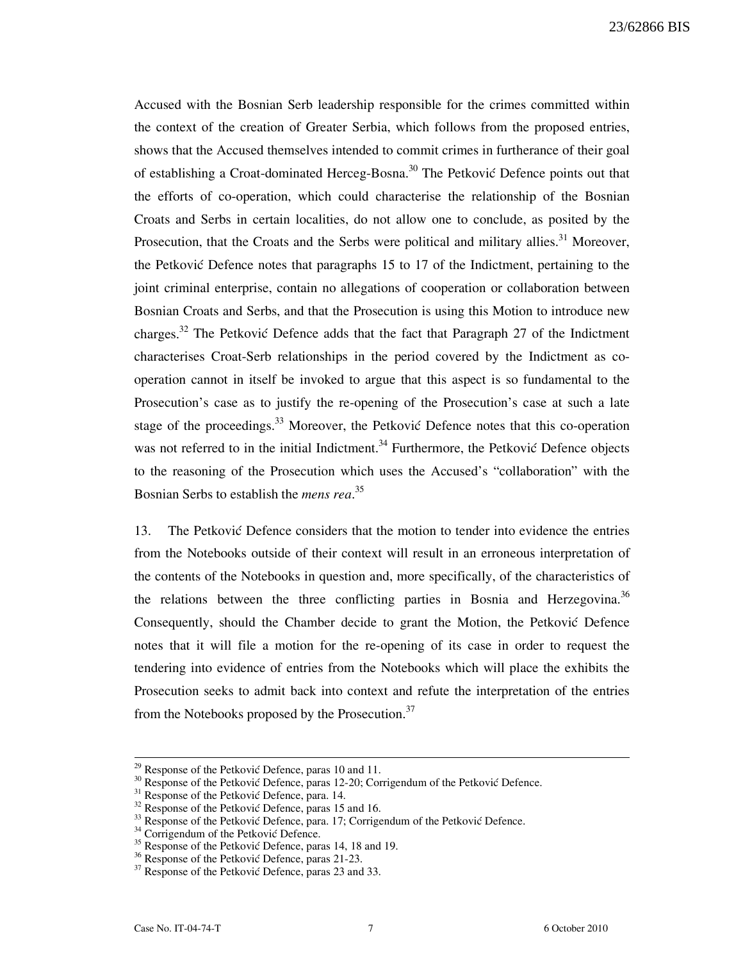Accused with the Bosnian Serb leadership responsible for the crimes committed within the context of the creation of Greater Serbia, which follows from the proposed entries, shows that the Accused themselves intended to commit crimes in furtherance of their goal of establishing a Croat-dominated Herceg-Bosna.<sup>30</sup> The Petković Defence points out that the efforts of co-operation, which could characterise the relationship of the Bosnian Croats and Serbs in certain localities, do not allow one to conclude, as posited by the Prosecution, that the Croats and the Serbs were political and military allies.<sup>31</sup> Moreover, the Petković Defence notes that paragraphs 15 to 17 of the Indictment, pertaining to the joint criminal enterprise, contain no allegations of cooperation or collaboration between Bosnian Croats and Serbs, and that the Prosecution is using this Motion to introduce new charges.<sup>32</sup> The Petković Defence adds that the fact that Paragraph 27 of the Indictment characterises Croat-Serb relationships in the period covered by the Indictment as cooperation cannot in itself be invoked to argue that this aspect is so fundamental to the Prosecution's case as to justify the re-opening of the Prosecution's case at such a late stage of the proceedings.<sup>33</sup> Moreover, the Petković Defence notes that this co-operation was not referred to in the initial Indictment.<sup>34</sup> Furthermore, the Petković Defence objects to the reasoning of the Prosecution which uses the Accused's "collaboration" with the Bosnian Serbs to establish the *mens rea*.<sup>35</sup>

13. The Petković Defence considers that the motion to tender into evidence the entries from the Notebooks outside of their context will result in an erroneous interpretation of the contents of the Notebooks in question and, more specifically, of the characteristics of the relations between the three conflicting parties in Bosnia and Herzegovina.<sup>36</sup> Consequently, should the Chamber decide to grant the Motion, the Petkovic Defence notes that it will file a motion for the re-opening of its case in order to request the tendering into evidence of entries from the Notebooks which will place the exhibits the Prosecution seeks to admit back into context and refute the interpretation of the entries from the Notebooks proposed by the Prosecution.<sup>37</sup>

 $29$  Response of the Petković Defence, paras 10 and 11.

 $30$  Response of the Petković Defence, paras 12-20; Corrigendum of the Petković Defence.

 $31$  Response of the Petković Defence, para. 14.

 $32$  Response of the Petković Defence, paras 15 and 16.

 $33$  Response of the Petković Defence, para. 17; Corrigendum of the Petković Defence.

 $34$  Corrigendum of the Petković Defence.

<sup>&</sup>lt;sup>35</sup> Response of the Petković Defence, paras 14, 18 and 19.

<sup>&</sup>lt;sup>36</sup> Response of the Petković Defence, paras 21-23.

 $37$  Response of the Petković Defence, paras 23 and 33.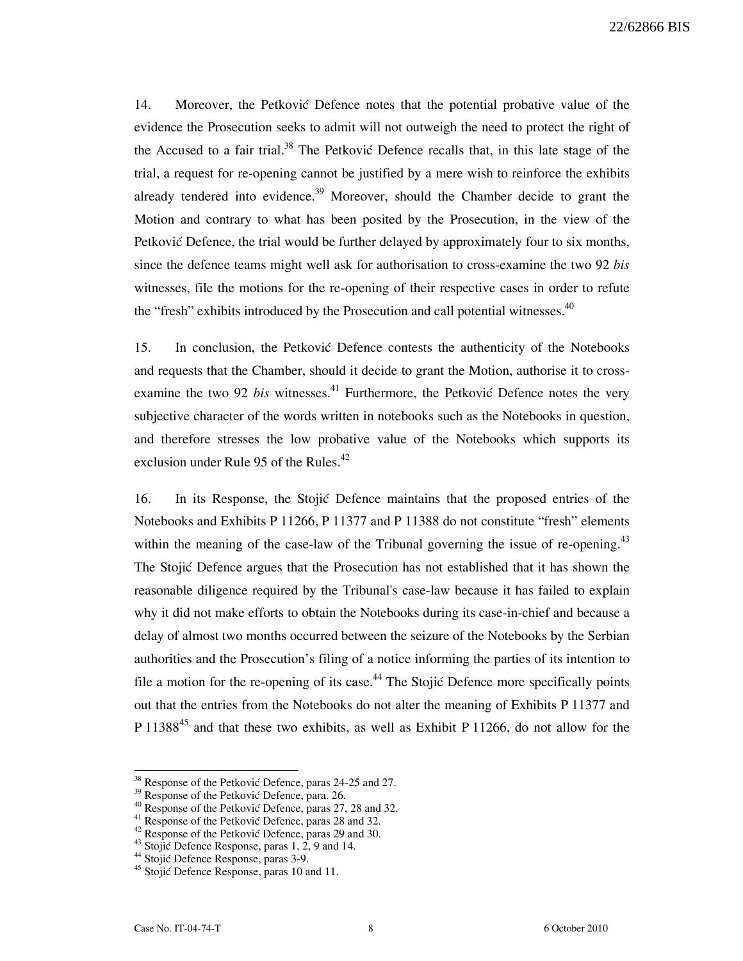14. Moreover, the Petković Defence notes that the potential probative value of the evidence the Prosecution seeks to admit will not outweigh the need to protect the right of the Accused to a fair trial.<sup>38</sup> The Petković Defence recalls that, in this late stage of the trial, a request for re-opening cannot be justified by a mere wish to reinforce the exhibits already tendered into evidence.<sup>39</sup> Moreover, should the Chamber decide to grant the Motion and contrary to what has been posited by the Prosecution, in the view of the Petković Defence, the trial would be further delayed by approximately four to six months, since the defence teams might well ask for authorisation to cross-examine the two 92 bis witnesses, file the motions for the re-opening of their respective cases in order to refute the "fresh" exhibits introduced by the Prosecution and call potential witnesses.<sup>40</sup>

15. In conclusion, the Petković Defence contests the authenticity of the Notebooks and requests that the Chamber, should it decide to grant the Motion, authorise it to crossexamine the two 92 bis witnesses.<sup>41</sup> Furthermore, the Petković Defence notes the very subjective character of the words written in notebooks such as the Notebooks in question, and therefore stresses the low probative value of the Notebooks which supports its exclusion under Rule 95 of the Rules.<sup>42</sup>

16. In its Response, the Stojić Defence maintains that the proposed entries of the Notebooks and Exhibits P 11266, P 11377 and P 11388 do not constitute "fresh" elements within the meaning of the case-law of the Tribunal governing the issue of re-opening.<sup>43</sup> The Stojić Defence argues that the Prosecution has not established that it has shown the reasonable diligence required by the Tribunal's case-law because it has failed to explain why it did not make efforts to obtain the Notebooks during its case-in-chief and because a delay of almost two months occurred between the seizure of the Notebooks by the Serbian authorities and the Prosecution's filing of a notice informing the parties of its intention to file a motion for the re-opening of its case.<sup>44</sup> The Stojić Defence more specifically points out that the entries from the Notebooks do not alter the meaning of Exhibits P 11377 and P 11388<sup>45</sup> and that these two exhibits, as well as Exhibit P 11266, do not allow for the

 $38$  Response of the Petković Defence, paras 24-25 and 27.

Response of the Petković Defence, para. 26.

 $40$  Response of the Petković Defence, paras 27, 28 and 32.

<sup>&</sup>lt;sup>41</sup> Response of the Petković Defence, paras 28 and 32.

<sup>&</sup>lt;sup>42</sup> Response of the Petković Defence, paras 29 and 30.

<sup>&</sup>lt;sup>43</sup> Stojić Defence Response, paras 1, 2, 9 and 14.

<sup>&</sup>lt;sup>44</sup> Stojić Defence Response, paras 3-9.

<sup>&</sup>lt;sup>45</sup> Stojić Defence Response, paras 10 and 11.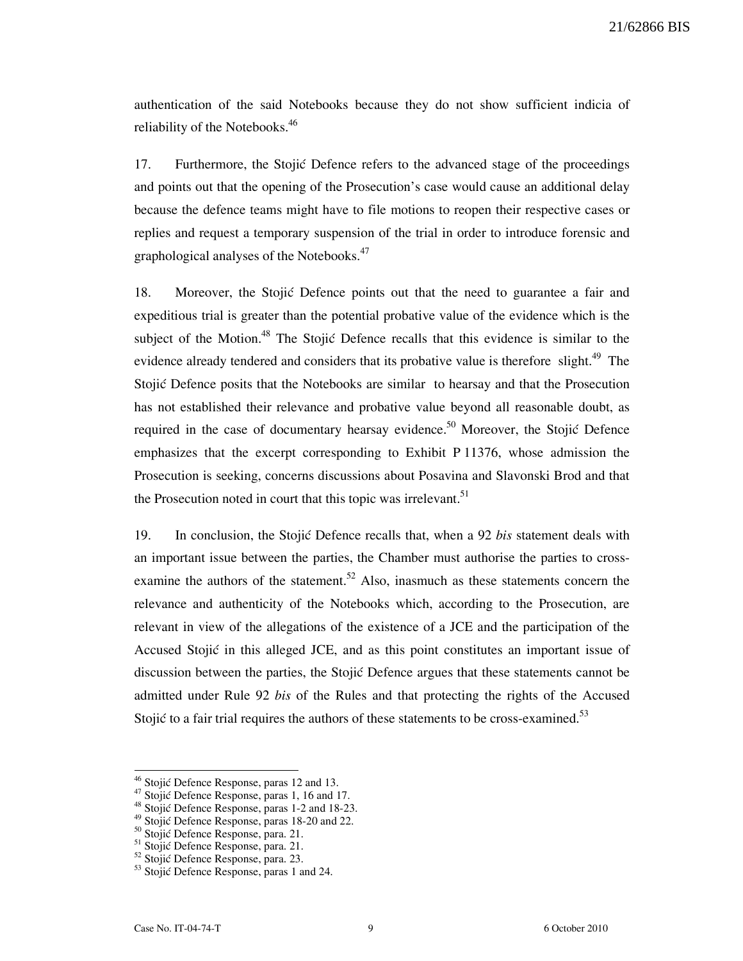authentication of the said Notebooks because they do not show sufficient indicia of reliability of the Notebooks.<sup>46</sup>

17. Furthermore, the Stojić Defence refers to the advanced stage of the proceedings and points out that the opening of the Prosecution's case would cause an additional delay because the defence teams might have to file motions to reopen their respective cases or replies and request a temporary suspension of the trial in order to introduce forensic and graphological analyses of the Notebooks.<sup>47</sup>

18. Moreover, the Stojić Defence points out that the need to guarantee a fair and expeditious trial is greater than the potential probative value of the evidence which is the subject of the Motion.<sup>48</sup> The Stojić Defence recalls that this evidence is similar to the evidence already tendered and considers that its probative value is therefore slight.<sup>49</sup> The Stojić Defence posits that the Notebooks are similar to hearsay and that the Prosecution has not established their relevance and probative value beyond all reasonable doubt, as required in the case of documentary hearsay evidence.<sup>50</sup> Moreover, the Stojić Defence emphasizes that the excerpt corresponding to Exhibit P 11376, whose admission the Prosecution is seeking, concerns discussions about Posavina and Slavonski Brod and that the Prosecution noted in court that this topic was irrelevant.<sup>51</sup>

19. In conclusion, the Stojić Defence recalls that, when a 92 bis statement deals with an important issue between the parties, the Chamber must authorise the parties to crossexamine the authors of the statement.<sup>52</sup> Also, inasmuch as these statements concern the relevance and authenticity of the Notebooks which, according to the Prosecution, are relevant in view of the allegations of the existence of a JCE and the participation of the Accused Stojić in this alleged JCE, and as this point constitutes an important issue of discussion between the parties, the Stojić Defence argues that these statements cannot be admitted under Rule 92 bis of the Rules and that protecting the rights of the Accused Stojić to a fair trial requires the authors of these statements to be cross-examined. $5<sup>3</sup>$ 

<sup>&</sup>lt;sup>46</sup> Stojić Defence Response, paras 12 and 13.

 $47$  Stojić Defence Response, paras 1, 16 and 17.

<sup>48</sup> Stojić Defence Response, paras 1-2 and 18-23.

 $^{49}$  Stojić Defence Response, paras 18-20 and 22.

<sup>&</sup>lt;sup>50</sup> Stojić Defence Response, para. 21.

<sup>&</sup>lt;sup>51</sup> Stojić Defence Response, para. 21.

<sup>52</sup> Stojić Defence Response, para. 23.

 $53$  Stojić Defence Response, paras 1 and 24.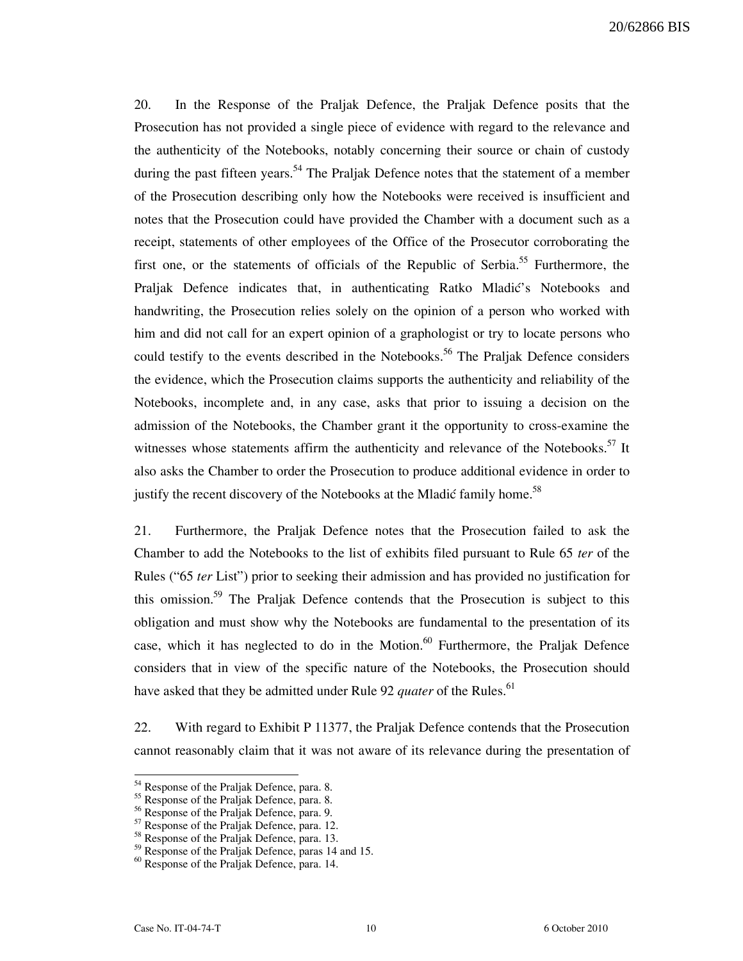20/62866 BIS

20. In the Response of the Praljak Defence, the Praljak Defence posits that the Prosecution has not provided a single piece of evidence with regard to the relevance and the authenticity of the Notebooks, notably concerning their source or chain of custody during the past fifteen years.<sup>54</sup> The Praljak Defence notes that the statement of a member of the Prosecution describing only how the Notebooks were received is insufficient and notes that the Prosecution could have provided the Chamber with a document such as a receipt, statements of other employees of the Office of the Prosecutor corroborating the first one, or the statements of officials of the Republic of Serbia.<sup>55</sup> Furthermore, the Praljak Defence indicates that, in authenticating Ratko Mladić's Notebooks and handwriting, the Prosecution relies solely on the opinion of a person who worked with him and did not call for an expert opinion of a graphologist or try to locate persons who could testify to the events described in the Notebooks.<sup>56</sup> The Praljak Defence considers the evidence, which the Prosecution claims supports the authenticity and reliability of the Notebooks, incomplete and, in any case, asks that prior to issuing a decision on the admission of the Notebooks, the Chamber grant it the opportunity to cross-examine the witnesses whose statements affirm the authenticity and relevance of the Notebooks. $57$  It also asks the Chamber to order the Prosecution to produce additional evidence in order to justify the recent discovery of the Notebooks at the Mladić family home.<sup>58</sup>

21. Furthermore, the Praljak Defence notes that the Prosecution failed to ask the Chamber to add the Notebooks to the list of exhibits filed pursuant to Rule 65 ter of the Rules ("65 ter List") prior to seeking their admission and has provided no justification for this omission.<sup>59</sup> The Praljak Defence contends that the Prosecution is subject to this obligation and must show why the Notebooks are fundamental to the presentation of its case, which it has neglected to do in the Motion.<sup>60</sup> Furthermore, the Praljak Defence considers that in view of the specific nature of the Notebooks, the Prosecution should have asked that they be admitted under Rule 92 *quater* of the Rules.<sup>61</sup>

22. With regard to Exhibit P 11377, the Praljak Defence contends that the Prosecution cannot reasonably claim that it was not aware of its relevance during the presentation of

<sup>&</sup>lt;sup>54</sup> Response of the Praljak Defence, para. 8.

<sup>&</sup>lt;sup>55</sup> Response of the Praljak Defence, para. 8.

<sup>&</sup>lt;sup>56</sup> Response of the Praljak Defence, para. 9.

<sup>&</sup>lt;sup>57</sup> Response of the Praljak Defence, para. 12.

<sup>&</sup>lt;sup>58</sup> Response of the Praljak Defence, para. 13.

<sup>&</sup>lt;sup>59</sup> Response of the Praljak Defence, paras 14 and 15.

<sup>&</sup>lt;sup>60</sup> Response of the Praljak Defence, para. 14.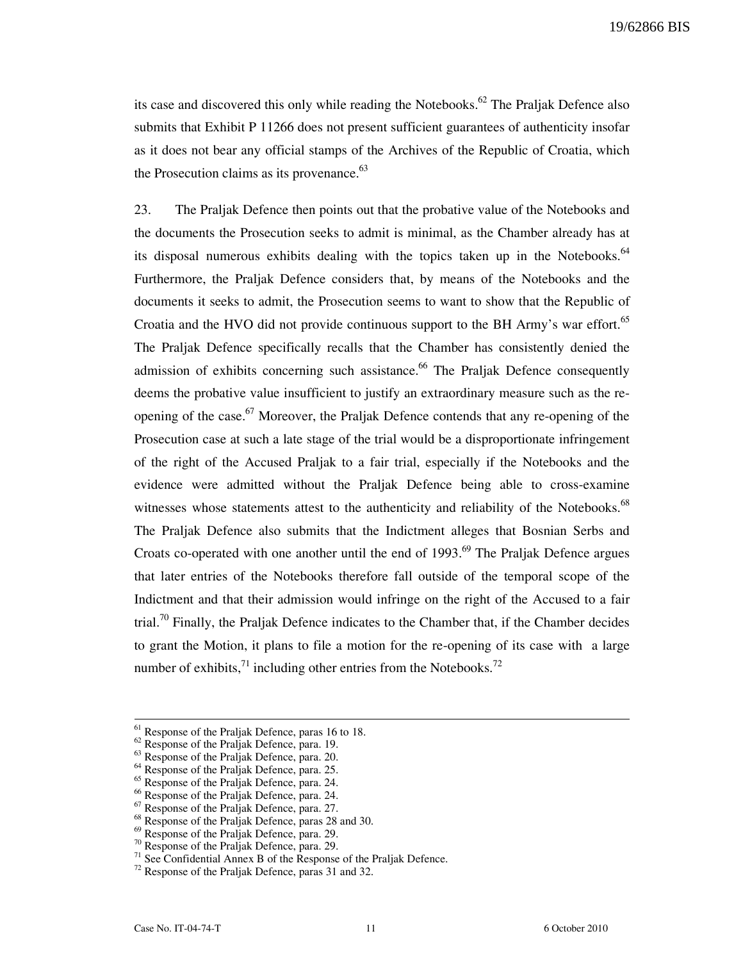19/62866 BIS

its case and discovered this only while reading the Notebooks.<sup>62</sup> The Praljak Defence also submits that Exhibit P 11266 does not present sufficient guarantees of authenticity insofar as it does not bear any official stamps of the Archives of the Republic of Croatia, which the Prosecution claims as its provenance. $^{63}$ 

23. The Praljak Defence then points out that the probative value of the Notebooks and the documents the Prosecution seeks to admit is minimal, as the Chamber already has at its disposal numerous exhibits dealing with the topics taken up in the Notebooks. $64$ Furthermore, the Praljak Defence considers that, by means of the Notebooks and the documents it seeks to admit, the Prosecution seems to want to show that the Republic of Croatia and the HVO did not provide continuous support to the BH Army's war effort.<sup>65</sup> The Praljak Defence specifically recalls that the Chamber has consistently denied the admission of exhibits concerning such assistance.<sup>66</sup> The Praljak Defence consequently deems the probative value insufficient to justify an extraordinary measure such as the reopening of the case.<sup>67</sup> Moreover, the Praljak Defence contends that any re-opening of the Prosecution case at such a late stage of the trial would be a disproportionate infringement of the right of the Accused Praljak to a fair trial, especially if the Notebooks and the evidence were admitted without the Praljak Defence being able to cross-examine witnesses whose statements attest to the authenticity and reliability of the Notebooks.<sup>68</sup> The Praljak Defence also submits that the Indictment alleges that Bosnian Serbs and Croats co-operated with one another until the end of  $1993<sup>69</sup>$  The Praljak Defence argues that later entries of the Notebooks therefore fall outside of the temporal scope of the Indictment and that their admission would infringe on the right of the Accused to a fair trial.<sup>70</sup> Finally, the Praljak Defence indicates to the Chamber that, if the Chamber decides to grant the Motion, it plans to file a motion for the re-opening of its case with a large number of exhibits, $^{71}$  including other entries from the Notebooks.<sup>72</sup>

 $<sup>61</sup>$  Response of the Praljak Defence, paras 16 to 18.</sup>

<sup>&</sup>lt;sup>62</sup> Response of the Praljak Defence, para. 19.

<sup>&</sup>lt;sup>63</sup> Response of the Praljak Defence, para. 20.

<sup>&</sup>lt;sup>64</sup> Response of the Praljak Defence, para. 25.

<sup>&</sup>lt;sup>65</sup> Response of the Praljak Defence, para. 24.

<sup>&</sup>lt;sup>66</sup> Response of the Praljak Defence, para. 24.

<sup>&</sup>lt;sup>67</sup> Response of the Praljak Defence, para. 27.

<sup>&</sup>lt;sup>68</sup> Response of the Praljak Defence, paras 28 and 30.

<sup>&</sup>lt;sup>69</sup> Response of the Praljak Defence, para. 29.

 $70$  Response of the Praljak Defence, para. 29.

 $71$  See Confidential Annex B of the Response of the Praljak Defence.

<sup>72</sup> Response of the Praljak Defence, paras 31 and 32.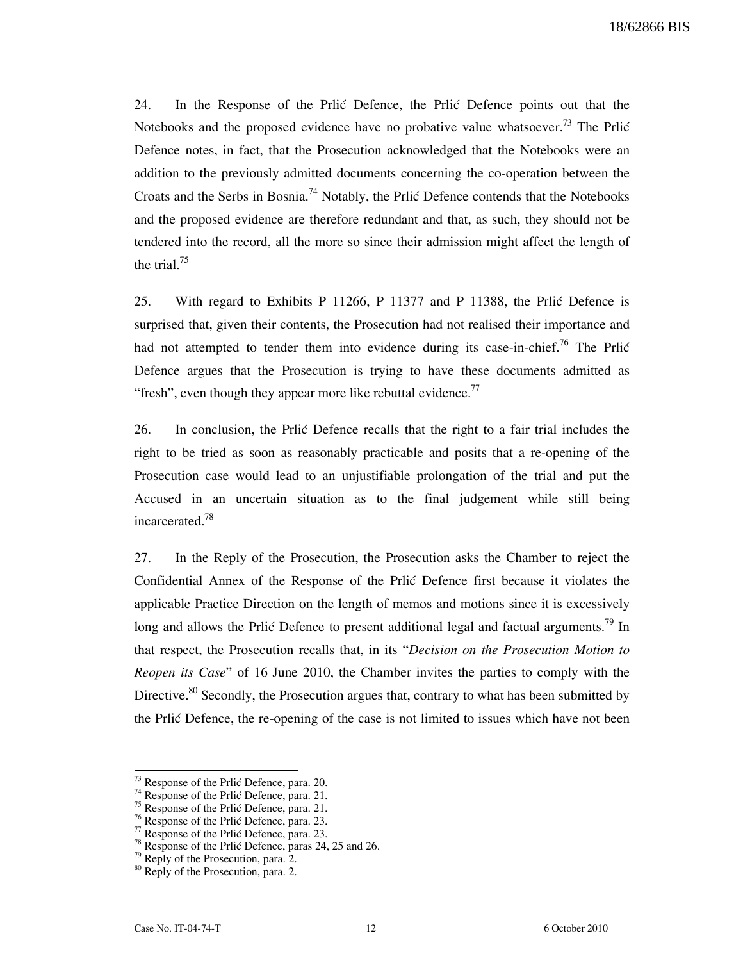24. In the Response of the Prlic Defence, the Prlic Defence points out that the Notebooks and the proposed evidence have no probative value whatsoever.<sup>73</sup> The Prlić Defence notes, in fact, that the Prosecution acknowledged that the Notebooks were an addition to the previously admitted documents concerning the co-operation between the Croats and the Serbs in Bosnia.<sup>74</sup> Notably, the Prlić Defence contends that the Notebooks and the proposed evidence are therefore redundant and that, as such, they should not be tendered into the record, all the more so since their admission might affect the length of the trial. $^{75}$ 

25. With regard to Exhibits P 11266, P 11377 and P 11388, the Prlić Defence is surprised that, given their contents, the Prosecution had not realised their importance and had not attempted to tender them into evidence during its case-in-chief.<sup>76</sup> The Prlic Defence argues that the Prosecution is trying to have these documents admitted as "fresh", even though they appear more like rebuttal evidence. $^{77}$ 

26. In conclusion, the Prlić Defence recalls that the right to a fair trial includes the right to be tried as soon as reasonably practicable and posits that a re-opening of the Prosecution case would lead to an unjustifiable prolongation of the trial and put the Accused in an uncertain situation as to the final judgement while still being incarcerated.<sup>78</sup>

27. In the Reply of the Prosecution, the Prosecution asks the Chamber to reject the Confidential Annex of the Response of the Prlic Defence first because it violates the applicable Practice Direction on the length of memos and motions since it is excessively long and allows the Prlić Defence to present additional legal and factual arguments.<sup>79</sup> In that respect, the Prosecution recalls that, in its "Decision on the Prosecution Motion to Reopen its Case" of 16 June 2010, the Chamber invites the parties to comply with the Directive.<sup>80</sup> Secondly, the Prosecution argues that, contrary to what has been submitted by the Prlić Defence, the re-opening of the case is not limited to issues which have not been

 $73$  Response of the Prlić Defence, para. 20.

 $74$  Response of the Prlić Defence, para. 21.

 $75$  Response of the Prlić Defence, para. 21.

 $76$  Response of the Prlić Defence, para. 23.

 $77$  Response of the Prlic Defence, para. 23.

 $78$  Response of the Prlić Defence, paras 24, 25 and 26.

 $79$  Reply of the Prosecution, para. 2.

<sup>&</sup>lt;sup>80</sup> Reply of the Prosecution, para. 2.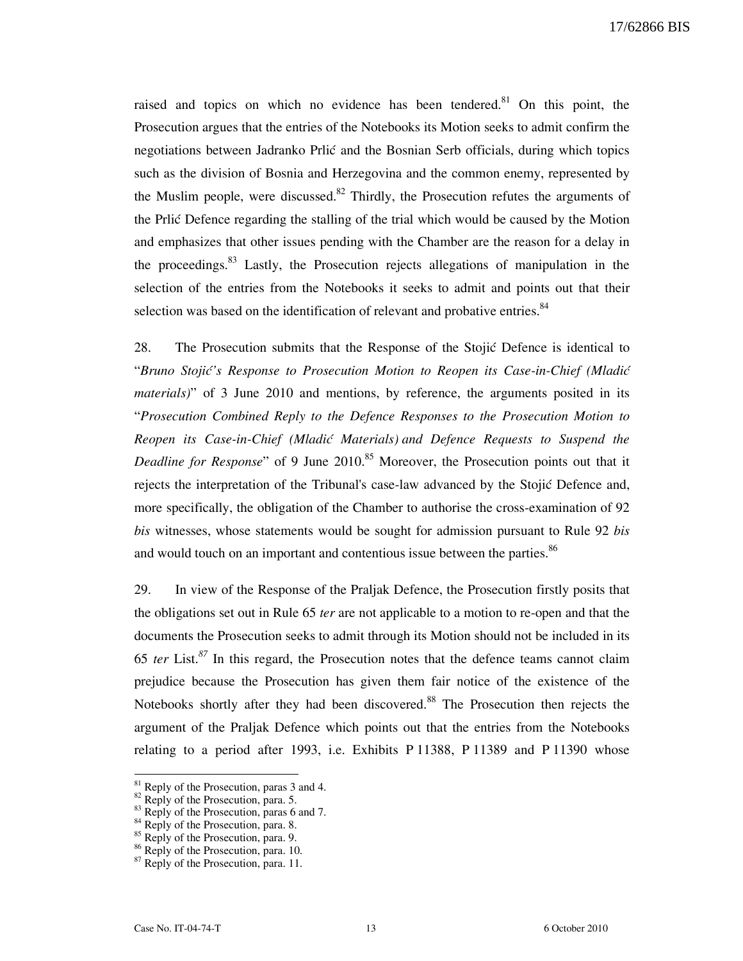raised and topics on which no evidence has been tendered.<sup>81</sup> On this point, the Prosecution argues that the entries of the Notebooks its Motion seeks to admit confirm the negotiations between Jadranko Prlić and the Bosnian Serb officials, during which topics such as the division of Bosnia and Herzegovina and the common enemy, represented by the Muslim people, were discussed.<sup>82</sup> Thirdly, the Prosecution refutes the arguments of the Prlić Defence regarding the stalling of the trial which would be caused by the Motion and emphasizes that other issues pending with the Chamber are the reason for a delay in the proceedings.<sup>83</sup> Lastly, the Prosecution rejects allegations of manipulation in the selection of the entries from the Notebooks it seeks to admit and points out that their selection was based on the identification of relevant and probative entries.<sup>84</sup>

28. The Prosecution submits that the Response of the Stojić Defence is identical to "Bruno Stojić's Response to Prosecution Motion to Reopen its Case-in-Chief (Mladić materials)" of 3 June 2010 and mentions, by reference, the arguments posited in its "Prosecution Combined Reply to the Defence Responses to the Prosecution Motion to Reopen its Case-in-Chief (Mladić Materials) and Defence Requests to Suspend the *Deadline for Response*" of 9 June  $2010$ .<sup>85</sup> Moreover, the Prosecution points out that it rejects the interpretation of the Tribunal's case-law advanced by the Stojić Defence and, more specifically, the obligation of the Chamber to authorise the cross-examination of 92 bis witnesses, whose statements would be sought for admission pursuant to Rule 92 bis and would touch on an important and contentious issue between the parties.<sup>86</sup>

29. In view of the Response of the Praljak Defence, the Prosecution firstly posits that the obligations set out in Rule 65 ter are not applicable to a motion to re-open and that the documents the Prosecution seeks to admit through its Motion should not be included in its 65 ter List. $87$  In this regard, the Prosecution notes that the defence teams cannot claim prejudice because the Prosecution has given them fair notice of the existence of the Notebooks shortly after they had been discovered.<sup>88</sup> The Prosecution then rejects the argument of the Praljak Defence which points out that the entries from the Notebooks relating to a period after 1993, i.e. Exhibits P 11388, P 11389 and P 11390 whose

 $81$  Reply of the Prosecution, paras 3 and 4.

 $82$  Reply of the Prosecution, para. 5.

 $83$  Reply of the Prosecution, paras 6 and 7.

 $84$  Reply of the Prosecution, para. 8.

<sup>&</sup>lt;sup>85</sup> Reply of the Prosecution, para. 9.

<sup>&</sup>lt;sup>86</sup> Reply of the Prosecution, para. 10.

 $87$  Reply of the Prosecution, para. 11.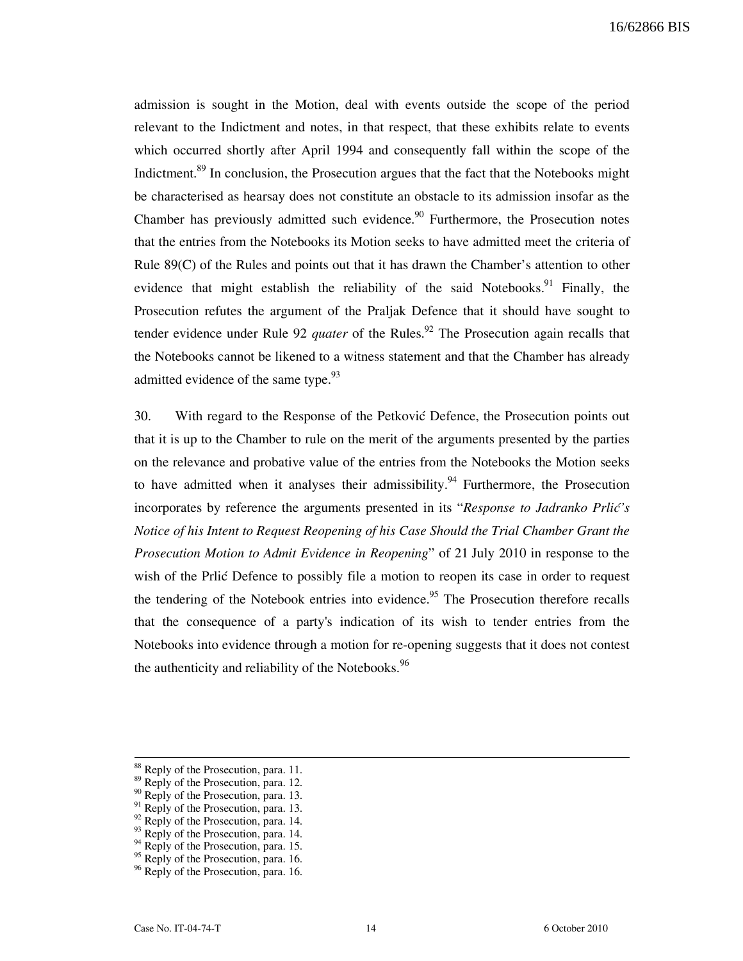admission is sought in the Motion, deal with events outside the scope of the period relevant to the Indictment and notes, in that respect, that these exhibits relate to events which occurred shortly after April 1994 and consequently fall within the scope of the Indictment.<sup>89</sup> In conclusion, the Prosecution argues that the fact that the Notebooks might be characterised as hearsay does not constitute an obstacle to its admission insofar as the Chamber has previously admitted such evidence.<sup>90</sup> Furthermore, the Prosecution notes that the entries from the Notebooks its Motion seeks to have admitted meet the criteria of Rule 89(C) of the Rules and points out that it has drawn the Chamber's attention to other evidence that might establish the reliability of the said Notebooks.<sup>91</sup> Finally, the Prosecution refutes the argument of the Praljak Defence that it should have sought to tender evidence under Rule 92 *quater* of the Rules.<sup>92</sup> The Prosecution again recalls that the Notebooks cannot be likened to a witness statement and that the Chamber has already admitted evidence of the same type. $93$ 

30. With regard to the Response of the Petković Defence, the Prosecution points out that it is up to the Chamber to rule on the merit of the arguments presented by the parties on the relevance and probative value of the entries from the Notebooks the Motion seeks to have admitted when it analyses their admissibility.<sup>94</sup> Furthermore, the Prosecution incorporates by reference the arguments presented in its "Response to Jadranko Prlić's Notice of his Intent to Request Reopening of his Case Should the Trial Chamber Grant the Prosecution Motion to Admit Evidence in Reopening" of 21 July 2010 in response to the wish of the Prlic Defence to possibly file a motion to reopen its case in order to request the tendering of the Notebook entries into evidence.<sup>95</sup> The Prosecution therefore recalls that the consequence of a party's indication of its wish to tender entries from the Notebooks into evidence through a motion for re-opening suggests that it does not contest the authenticity and reliability of the Notebooks.  $96$ 

<sup>&</sup>lt;sup>88</sup> Reply of the Prosecution, para. 11.

<sup>&</sup>lt;sup>89</sup> Reply of the Prosecution, para. 12.

 $^{90}$  Reply of the Prosecution, para. 13.

 $^{91}$  Reply of the Prosecution, para. 13.

 $^{92}$  Reply of the Prosecution, para. 14.

 $^{93}$  Reply of the Prosecution, para. 14.

 $^{94}$  Reply of the Prosecution, para. 15.

<sup>95</sup> Reply of the Prosecution, para. 16.

<sup>&</sup>lt;sup>96</sup> Reply of the Prosecution, para. 16.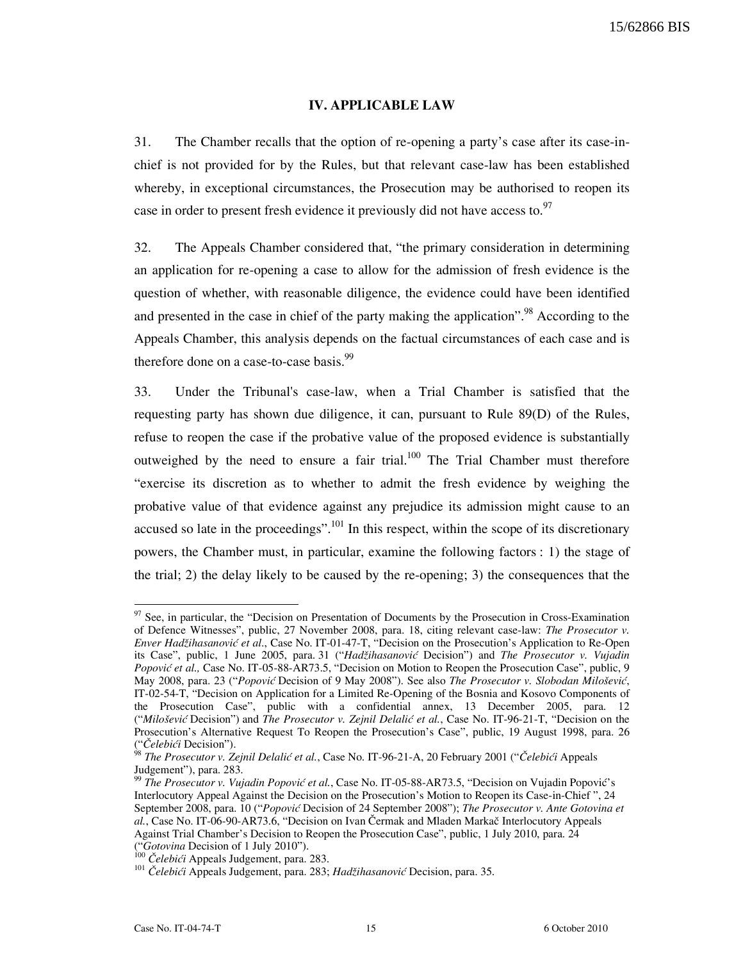#### IV. APPLICABLE LAW

31. The Chamber recalls that the option of re-opening a party's case after its case-inchief is not provided for by the Rules, but that relevant case-law has been established whereby, in exceptional circumstances, the Prosecution may be authorised to reopen its case in order to present fresh evidence it previously did not have access to.<sup>97</sup>

32. The Appeals Chamber considered that, "the primary consideration in determining an application for re-opening a case to allow for the admission of fresh evidence is the question of whether, with reasonable diligence, the evidence could have been identified and presented in the case in chief of the party making the application".<sup>98</sup> According to the Appeals Chamber, this analysis depends on the factual circumstances of each case and is therefore done on a case-to-case basis. $^{99}$ 

33. Under the Tribunal's case-law, when a Trial Chamber is satisfied that the requesting party has shown due diligence, it can, pursuant to Rule 89(D) of the Rules, refuse to reopen the case if the probative value of the proposed evidence is substantially outweighed by the need to ensure a fair trial. $100$  The Trial Chamber must therefore "exercise its discretion as to whether to admit the fresh evidence by weighing the probative value of that evidence against any prejudice its admission might cause to an accused so late in the proceedings".<sup>101</sup> In this respect, within the scope of its discretionary powers, the Chamber must, in particular, examine the following factors : 1) the stage of the trial; 2) the delay likely to be caused by the re-opening; 3) the consequences that the

 $97$  See, in particular, the "Decision on Presentation of Documents by the Prosecution in Cross-Examination of Defence Witnesses", public, 27 November 2008, para. 18, citing relevant case-law: The Prosecutor v. Enver Hadžihasanović et al., Case No. IT-01-47-T, "Decision on the Prosecution's Application to Re-Open its Case", public, 1 June 2005, para. 31 ("Hadžihasanović Decision") and The Prosecutor v. Vujadin Popović et al., Case No. IT-05-88-AR73.5, "Decision on Motion to Reopen the Prosecution Case", public, 9 May 2008, para. 23 ("Popović Decision of 9 May 2008"). See also The Prosecutor v. Slobodan Milošević, IT-02-54-T, "Decision on Application for a Limited Re-Opening of the Bosnia and Kosovo Components of the Prosecution Case", public with a confidential annex, 13 December 2005, para. 12 ("Milošević Decision") and The Prosecutor v. Zejnil Delalić et al., Case No. IT-96-21-T, "Decision on the Prosecution's Alternative Request To Reopen the Prosecution's Case", public, 19 August 1998, para. 26 ("Čelebići Decision").

<sup>&</sup>lt;sup>98</sup> The Prosecutor v. Zejnil Delalić et al., Case No. IT-96-21-A, 20 February 2001 ("Čelebići Appeals Judgement"), para. 283.

<sup>&</sup>lt;sup>99</sup> The Prosecutor v. Vujadin Popović et al., Case No. IT-05-88-AR73.5, "Decision on Vujadin Popović's Interlocutory Appeal Against the Decision on the Prosecution's Motion to Reopen its Case-in-Chief ", 24 September 2008, para. 10 ("Popović Decision of 24 September 2008"); The Prosecutor v. Ante Gotovina et al., Case No. IT-06-90-AR73.6, "Decision on Ivan Čermak and Mladen Markač Interlocutory Appeals Against Trial Chamber's Decision to Reopen the Prosecution Case", public, 1 July 2010, para. 24 ("Gotovina Decision of 1 July 2010").

<sup>&</sup>lt;sup>100</sup> Čelebići Appeals Judgement, para. 283.

<sup>&</sup>lt;sup>101</sup> Čelebići Appeals Judgement, para. 283; Hadžihasanović Decision, para. 35.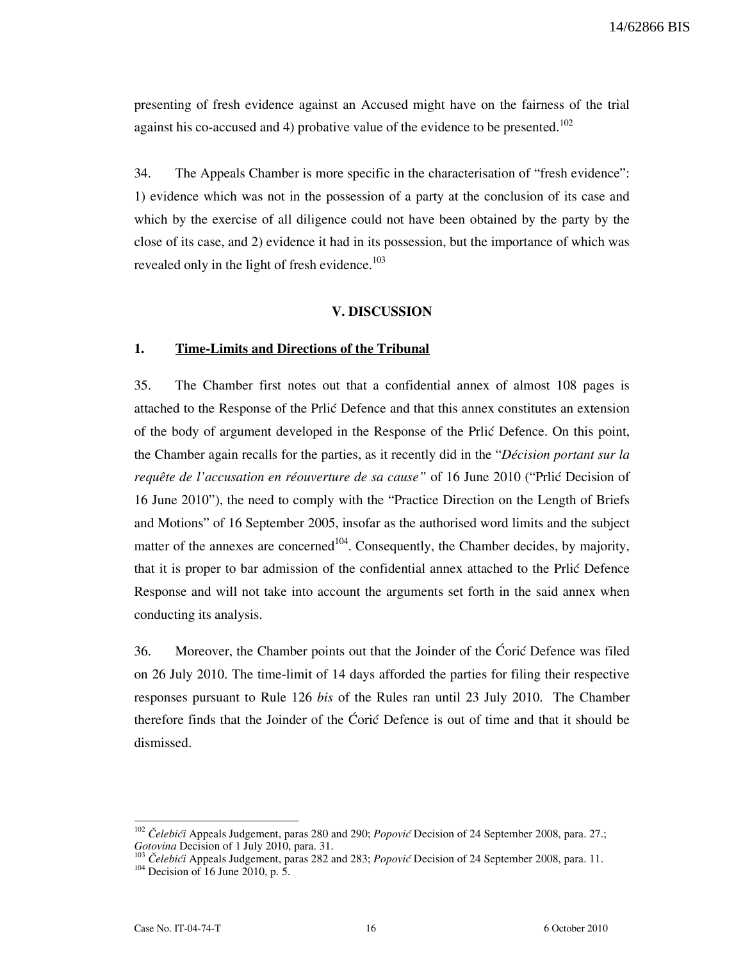presenting of fresh evidence against an Accused might have on the fairness of the trial against his co-accused and 4) probative value of the evidence to be presented.<sup>102</sup>

34. The Appeals Chamber is more specific in the characterisation of "fresh evidence": 1) evidence which was not in the possession of a party at the conclusion of its case and which by the exercise of all diligence could not have been obtained by the party by the close of its case, and 2) evidence it had in its possession, but the importance of which was revealed only in the light of fresh evidence. $103$ 

#### V. DISCUSSION

## 1. Time-Limits and Directions of the Tribunal

35. The Chamber first notes out that a confidential annex of almost 108 pages is attached to the Response of the Prlić Defence and that this annex constitutes an extension of the body of argument developed in the Response of the Price Defence. On this point, the Chamber again recalls for the parties, as it recently did in the "Décision portant sur la requête de l'accusation en réouverture de sa cause" of 16 June 2010 ("Prlié Decision of 16 June 2010"), the need to comply with the "Practice Direction on the Length of Briefs and Motions" of 16 September 2005, insofar as the authorised word limits and the subject matter of the annexes are concerned<sup>104</sup>. Consequently, the Chamber decides, by majority, that it is proper to bar admission of the confidential annex attached to the Prlić Defence Response and will not take into account the arguments set forth in the said annex when conducting its analysis.

36. Moreover, the Chamber points out that the Joinder of the Ćorić Defence was filed on 26 July 2010. The time-limit of 14 days afforded the parties for filing their respective responses pursuant to Rule 126 bis of the Rules ran until 23 July 2010. The Chamber therefore finds that the Joinder of the Ćorić Defence is out of time and that it should be dismissed.

 $102$  Čelebići Appeals Judgement, paras 280 and 290; Popović Decision of 24 September 2008, para. 27.; Gotovina Decision of 1 July 2010, para. 31.

Čelebići Appeals Judgement, paras 282 and 283; Popović Decision of 24 September 2008, para. 11.

 $104$  Decision of 16 June 2010, p. 5.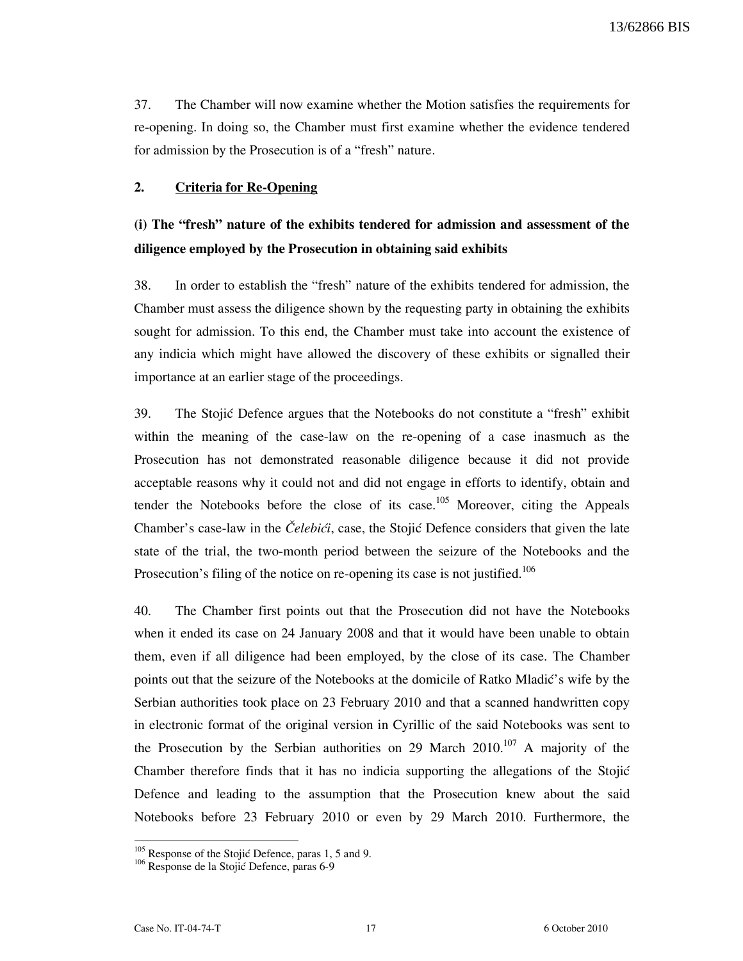37. The Chamber will now examine whether the Motion satisfies the requirements for re-opening. In doing so, the Chamber must first examine whether the evidence tendered for admission by the Prosecution is of a "fresh" nature.

## 2. Criteria for Re-Opening

# (i) The "fresh" nature of the exhibits tendered for admission and assessment of the diligence employed by the Prosecution in obtaining said exhibits

38. In order to establish the "fresh" nature of the exhibits tendered for admission, the Chamber must assess the diligence shown by the requesting party in obtaining the exhibits sought for admission. To this end, the Chamber must take into account the existence of any indicia which might have allowed the discovery of these exhibits or signalled their importance at an earlier stage of the proceedings.

39. The Stojić Defence argues that the Notebooks do not constitute a "fresh" exhibit within the meaning of the case-law on the re-opening of a case inasmuch as the Prosecution has not demonstrated reasonable diligence because it did not provide acceptable reasons why it could not and did not engage in efforts to identify, obtain and tender the Notebooks before the close of its case.<sup>105</sup> Moreover, citing the Appeals Chamber's case-law in the Celebici, case, the Stojic Defence considers that given the late state of the trial, the two-month period between the seizure of the Notebooks and the Prosecution's filing of the notice on re-opening its case is not justified.<sup>106</sup>

40. The Chamber first points out that the Prosecution did not have the Notebooks when it ended its case on 24 January 2008 and that it would have been unable to obtain them, even if all diligence had been employed, by the close of its case. The Chamber points out that the seizure of the Notebooks at the domicile of Ratko Mladić's wife by the Serbian authorities took place on 23 February 2010 and that a scanned handwritten copy in electronic format of the original version in Cyrillic of the said Notebooks was sent to the Prosecution by the Serbian authorities on 29 March  $2010^{107}$  A majority of the Chamber therefore finds that it has no indicia supporting the allegations of the Stojić Defence and leading to the assumption that the Prosecution knew about the said Notebooks before 23 February 2010 or even by 29 March 2010. Furthermore, the

 $105$  Response of the Stojić Defence, paras 1, 5 and 9.

<sup>&</sup>lt;sup>106</sup> Response de la Stojić Defence, paras 6-9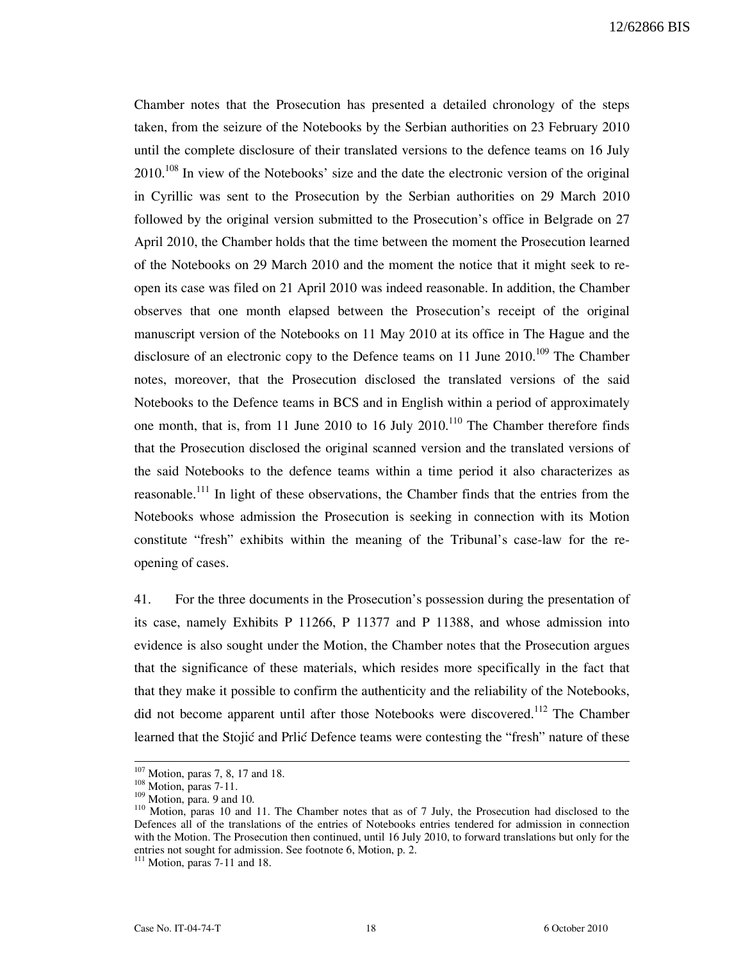Chamber notes that the Prosecution has presented a detailed chronology of the steps taken, from the seizure of the Notebooks by the Serbian authorities on 23 February 2010 until the complete disclosure of their translated versions to the defence teams on 16 July  $2010$ <sup>108</sup> In view of the Notebooks' size and the date the electronic version of the original in Cyrillic was sent to the Prosecution by the Serbian authorities on 29 March 2010 followed by the original version submitted to the Prosecution's office in Belgrade on 27 April 2010, the Chamber holds that the time between the moment the Prosecution learned of the Notebooks on 29 March 2010 and the moment the notice that it might seek to reopen its case was filed on 21 April 2010 was indeed reasonable. In addition, the Chamber observes that one month elapsed between the Prosecution's receipt of the original manuscript version of the Notebooks on 11 May 2010 at its office in The Hague and the disclosure of an electronic copy to the Defence teams on 11 June  $2010$ .<sup>109</sup> The Chamber notes, moreover, that the Prosecution disclosed the translated versions of the said Notebooks to the Defence teams in BCS and in English within a period of approximately one month, that is, from 11 June 2010 to 16 July  $2010$ .<sup>110</sup> The Chamber therefore finds that the Prosecution disclosed the original scanned version and the translated versions of the said Notebooks to the defence teams within a time period it also characterizes as reasonable.<sup>111</sup> In light of these observations, the Chamber finds that the entries from the Notebooks whose admission the Prosecution is seeking in connection with its Motion constitute "fresh" exhibits within the meaning of the Tribunal's case-law for the reopening of cases.

41. For the three documents in the Prosecution's possession during the presentation of its case, namely Exhibits P 11266, P 11377 and P 11388, and whose admission into evidence is also sought under the Motion, the Chamber notes that the Prosecution argues that the significance of these materials, which resides more specifically in the fact that that they make it possible to confirm the authenticity and the reliability of the Notebooks, did not become apparent until after those Notebooks were discovered.<sup>112</sup> The Chamber learned that the Stojić and Prlić Defence teams were contesting the "fresh" nature of these

 $107$  Motion, paras 7, 8, 17 and 18.

 $108$  Motion, paras 7-11.

 $109$  Motion, para. 9 and 10.

<sup>110</sup> Motion, paras 10 and 11. The Chamber notes that as of 7 July, the Prosecution had disclosed to the Defences all of the translations of the entries of Notebooks entries tendered for admission in connection with the Motion. The Prosecution then continued, until 16 July 2010, to forward translations but only for the entries not sought for admission. See footnote 6, Motion, p. 2.

 $111$  Motion, paras 7-11 and 18.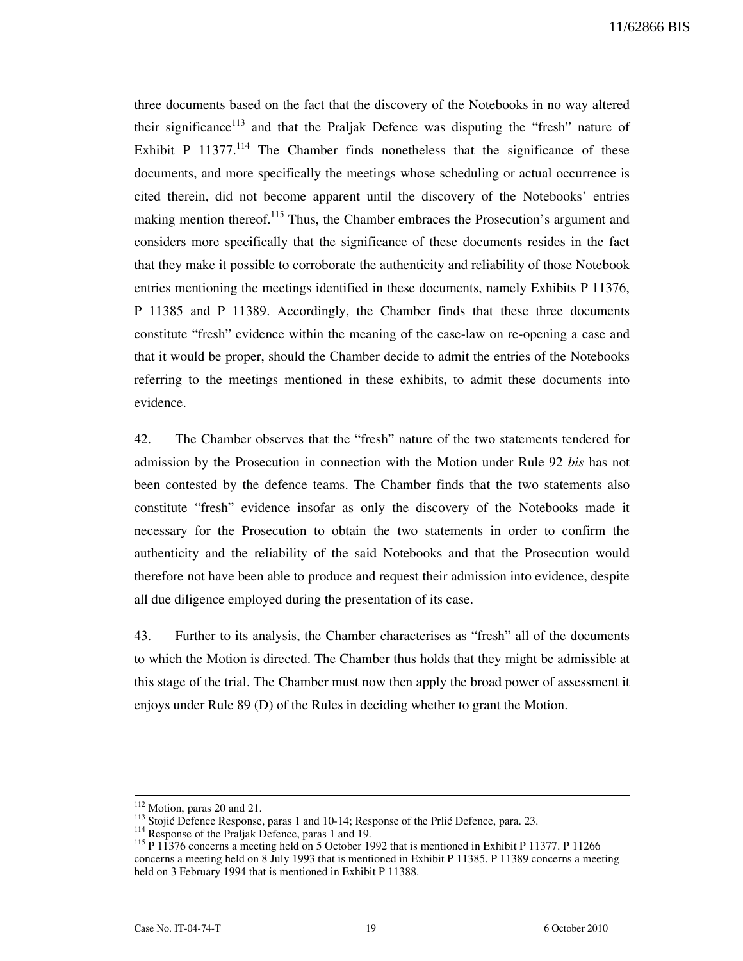three documents based on the fact that the discovery of the Notebooks in no way altered their significance<sup>113</sup> and that the Praljak Defence was disputing the "fresh" nature of Exhibit P  $11377$ <sup> $114$ </sup> The Chamber finds nonetheless that the significance of these documents, and more specifically the meetings whose scheduling or actual occurrence is cited therein, did not become apparent until the discovery of the Notebooks' entries making mention thereof.<sup>115</sup> Thus, the Chamber embraces the Prosecution's argument and considers more specifically that the significance of these documents resides in the fact that they make it possible to corroborate the authenticity and reliability of those Notebook entries mentioning the meetings identified in these documents, namely Exhibits P 11376, P 11385 and P 11389. Accordingly, the Chamber finds that these three documents constitute "fresh" evidence within the meaning of the case-law on re-opening a case and that it would be proper, should the Chamber decide to admit the entries of the Notebooks referring to the meetings mentioned in these exhibits, to admit these documents into evidence.

42. The Chamber observes that the "fresh" nature of the two statements tendered for admission by the Prosecution in connection with the Motion under Rule 92 bis has not been contested by the defence teams. The Chamber finds that the two statements also constitute "fresh" evidence insofar as only the discovery of the Notebooks made it necessary for the Prosecution to obtain the two statements in order to confirm the authenticity and the reliability of the said Notebooks and that the Prosecution would therefore not have been able to produce and request their admission into evidence, despite all due diligence employed during the presentation of its case.

43. Further to its analysis, the Chamber characterises as "fresh" all of the documents to which the Motion is directed. The Chamber thus holds that they might be admissible at this stage of the trial. The Chamber must now then apply the broad power of assessment it enjoys under Rule 89 (D) of the Rules in deciding whether to grant the Motion.

<sup>&</sup>lt;sup>112</sup> Motion, paras 20 and 21.

<sup>&</sup>lt;sup>113</sup> Stojić Defence Response, paras 1 and 10-14; Response of the Prlić Defence, para. 23.

<sup>&</sup>lt;sup>114</sup> Response of the Praljak Defence, paras 1 and 19.

<sup>&</sup>lt;sup>115</sup> P 11376 concerns a meeting held on 5 October 1992 that is mentioned in Exhibit P 11377. P 11266 concerns a meeting held on 8 July 1993 that is mentioned in Exhibit P 11385. P 11389 concerns a meeting held on 3 February 1994 that is mentioned in Exhibit P 11388.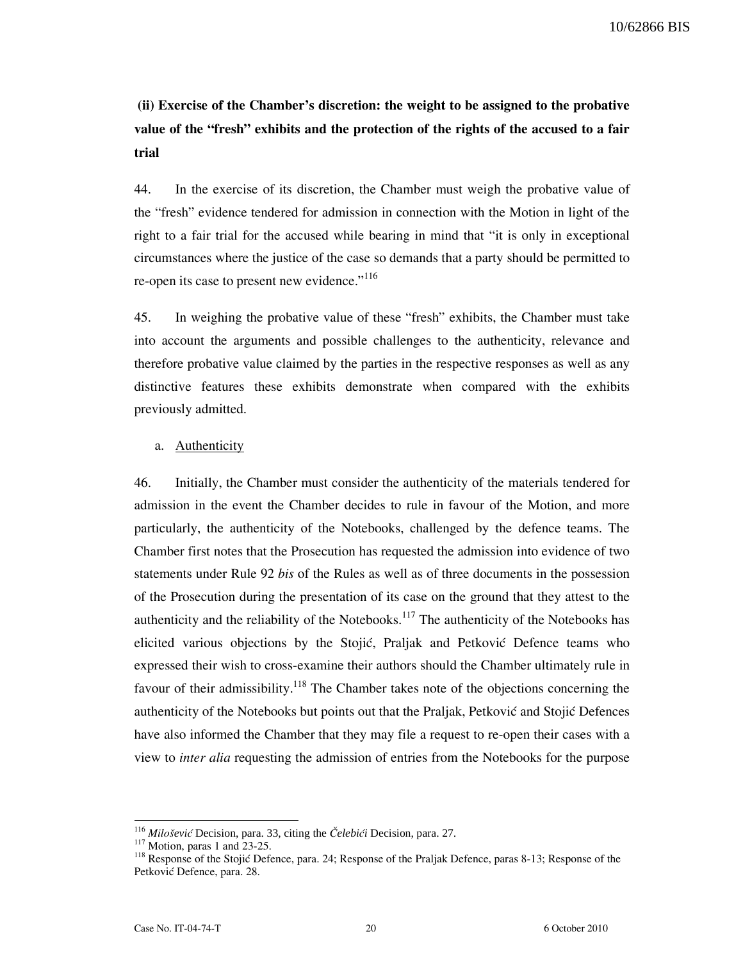(ii) Exercise of the Chamber's discretion: the weight to be assigned to the probative value of the "fresh" exhibits and the protection of the rights of the accused to a fair trial

44. In the exercise of its discretion, the Chamber must weigh the probative value of the "fresh" evidence tendered for admission in connection with the Motion in light of the right to a fair trial for the accused while bearing in mind that "it is only in exceptional circumstances where the justice of the case so demands that a party should be permitted to re-open its case to present new evidence."<sup>116</sup>

45. In weighing the probative value of these "fresh" exhibits, the Chamber must take into account the arguments and possible challenges to the authenticity, relevance and therefore probative value claimed by the parties in the respective responses as well as any distinctive features these exhibits demonstrate when compared with the exhibits previously admitted.

## a. Authenticity

46. Initially, the Chamber must consider the authenticity of the materials tendered for admission in the event the Chamber decides to rule in favour of the Motion, and more particularly, the authenticity of the Notebooks, challenged by the defence teams. The Chamber first notes that the Prosecution has requested the admission into evidence of two statements under Rule 92 bis of the Rules as well as of three documents in the possession of the Prosecution during the presentation of its case on the ground that they attest to the authenticity and the reliability of the Notebooks.<sup>117</sup> The authenticity of the Notebooks has elicited various objections by the Stojić, Praljak and Petković Defence teams who expressed their wish to cross-examine their authors should the Chamber ultimately rule in favour of their admissibility.<sup>118</sup> The Chamber takes note of the objections concerning the authenticity of the Notebooks but points out that the Praljak, Petković and Stojić Defences have also informed the Chamber that they may file a request to re-open their cases with a view to inter alia requesting the admission of entries from the Notebooks for the purpose

<sup>&</sup>lt;sup>116</sup> Milošević Decision, para. 33, citing the Čelebići Decision, para. 27.

<sup>117</sup> Motion, paras 1 and 23-25.

<sup>&</sup>lt;sup>118</sup> Response of the Stojić Defence, para. 24; Response of the Praljak Defence, paras 8-13; Response of the Petković Defence, para. 28.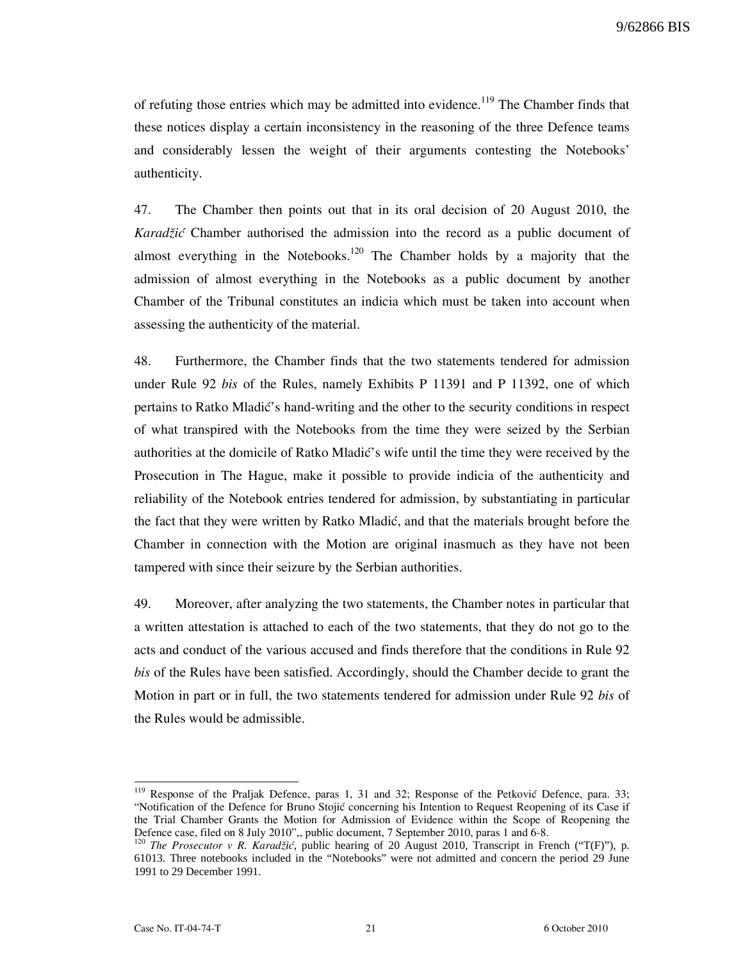of refuting those entries which may be admitted into evidence.<sup>119</sup> The Chamber finds that these notices display a certain inconsistency in the reasoning of the three Defence teams and considerably lessen the weight of their arguments contesting the Notebooks' authenticity.

47. The Chamber then points out that in its oral decision of 20 August 2010, the Karadžić Chamber authorised the admission into the record as a public document of almost everything in the Notebooks.<sup>120</sup> The Chamber holds by a majority that the admission of almost everything in the Notebooks as a public document by another Chamber of the Tribunal constitutes an indicia which must be taken into account when assessing the authenticity of the material.

48. Furthermore, the Chamber finds that the two statements tendered for admission under Rule 92 bis of the Rules, namely Exhibits P 11391 and P 11392, one of which pertains to Ratko Mladić's hand-writing and the other to the security conditions in respect of what transpired with the Notebooks from the time they were seized by the Serbian authorities at the domicile of Ratko Mladić's wife until the time they were received by the Prosecution in The Hague, make it possible to provide indicia of the authenticity and reliability of the Notebook entries tendered for admission, by substantiating in particular the fact that they were written by Ratko Mladić, and that the materials brought before the Chamber in connection with the Motion are original inasmuch as they have not been tampered with since their seizure by the Serbian authorities.

49. Moreover, after analyzing the two statements, the Chamber notes in particular that a written attestation is attached to each of the two statements, that they do not go to the acts and conduct of the various accused and finds therefore that the conditions in Rule 92 bis of the Rules have been satisfied. Accordingly, should the Chamber decide to grant the Motion in part or in full, the two statements tendered for admission under Rule 92 bis of the Rules would be admissible.

<sup>&</sup>lt;sup>119</sup> Response of the Praljak Defence, paras 1, 31 and 32; Response of the Petković Defence, para. 33; "Notification of the Defence for Bruno Stojić concerning his Intention to Request Reopening of its Case if the Trial Chamber Grants the Motion for Admission of Evidence within the Scope of Reopening the Defence case, filed on 8 July 2010",, public document, 7 September 2010, paras 1 and 6-8.

<sup>&</sup>lt;sup>120</sup> The Prosecutor v R. Karadžić, public hearing of 20 August 2010, Transcript in French ("T(F)"), p. 61013. Three notebooks included in the "Notebooks" were not admitted and concern the period 29 June 1991 to 29 December 1991.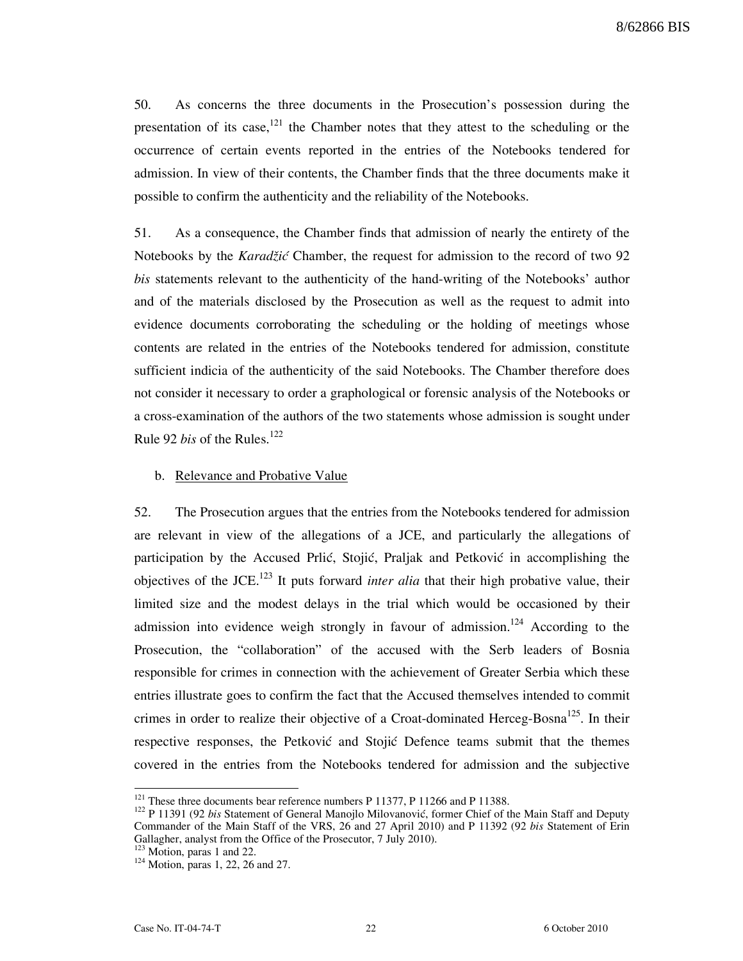50. As concerns the three documents in the Prosecution's possession during the presentation of its case,  $121$  the Chamber notes that they attest to the scheduling or the occurrence of certain events reported in the entries of the Notebooks tendered for admission. In view of their contents, the Chamber finds that the three documents make it possible to confirm the authenticity and the reliability of the Notebooks.

51. As a consequence, the Chamber finds that admission of nearly the entirety of the Notebooks by the *Karadžić* Chamber, the request for admission to the record of two 92 bis statements relevant to the authenticity of the hand-writing of the Notebooks' author and of the materials disclosed by the Prosecution as well as the request to admit into evidence documents corroborating the scheduling or the holding of meetings whose contents are related in the entries of the Notebooks tendered for admission, constitute sufficient indicia of the authenticity of the said Notebooks. The Chamber therefore does not consider it necessary to order a graphological or forensic analysis of the Notebooks or a cross-examination of the authors of the two statements whose admission is sought under Rule 92 *bis* of the Rules.<sup>122</sup>

#### b. Relevance and Probative Value

52. The Prosecution argues that the entries from the Notebooks tendered for admission are relevant in view of the allegations of a JCE, and particularly the allegations of participation by the Accused Prlić, Stojić, Praljak and Petković in accomplishing the objectives of the JCE.<sup>123</sup> It puts forward *inter alia* that their high probative value, their limited size and the modest delays in the trial which would be occasioned by their admission into evidence weigh strongly in favour of admission.<sup>124</sup> According to the Prosecution, the "collaboration" of the accused with the Serb leaders of Bosnia responsible for crimes in connection with the achievement of Greater Serbia which these entries illustrate goes to confirm the fact that the Accused themselves intended to commit crimes in order to realize their objective of a Croat-dominated Herceg-Bosna<sup>125</sup>. In their respective responses, the Petković and Stojić Defence teams submit that the themes covered in the entries from the Notebooks tendered for admission and the subjective

 $121$  These three documents bear reference numbers P 11377, P 11266 and P 11388.

<sup>&</sup>lt;sup>122</sup> P 11391 (92 bis Statement of General Manojlo Milovanović, former Chief of the Main Staff and Deputy Commander of the Main Staff of the VRS, 26 and 27 April 2010) and P 11392 (92 bis Statement of Erin Gallagher, analyst from the Office of the Prosecutor, 7 July 2010).

 $123$  Motion, paras 1 and 22.

<sup>124</sup> Motion, paras 1, 22, 26 and 27.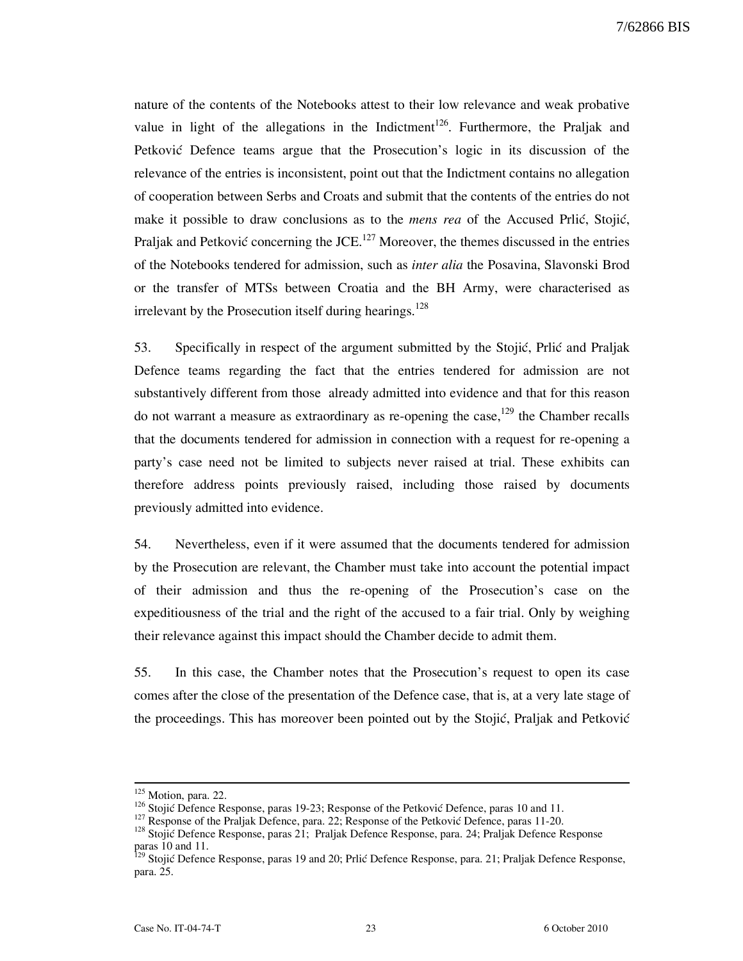nature of the contents of the Notebooks attest to their low relevance and weak probative value in light of the allegations in the Indictment<sup>126</sup>. Furthermore, the Praljak and Petković Defence teams argue that the Prosecution's logic in its discussion of the relevance of the entries is inconsistent, point out that the Indictment contains no allegation of cooperation between Serbs and Croats and submit that the contents of the entries do not make it possible to draw conclusions as to the mens rea of the Accused Prlić, Stojić, Praljak and Petković concerning the JCE.<sup>127</sup> Moreover, the themes discussed in the entries of the Notebooks tendered for admission, such as inter alia the Posavina, Slavonski Brod or the transfer of MTSs between Croatia and the BH Army, were characterised as irrelevant by the Prosecution itself during hearings.<sup>128</sup>

53. Specifically in respect of the argument submitted by the Stojić, Prlić and Praljak Defence teams regarding the fact that the entries tendered for admission are not substantively different from those already admitted into evidence and that for this reason do not warrant a measure as extraordinary as re-opening the case,  $129$  the Chamber recalls that the documents tendered for admission in connection with a request for re-opening a party's case need not be limited to subjects never raised at trial. These exhibits can therefore address points previously raised, including those raised by documents previously admitted into evidence.

54. Nevertheless, even if it were assumed that the documents tendered for admission by the Prosecution are relevant, the Chamber must take into account the potential impact of their admission and thus the re-opening of the Prosecution's case on the expeditiousness of the trial and the right of the accused to a fair trial. Only by weighing their relevance against this impact should the Chamber decide to admit them.

55. In this case, the Chamber notes that the Prosecution's request to open its case comes after the close of the presentation of the Defence case, that is, at a very late stage of the proceedings. This has moreover been pointed out by the Stojić, Praljak and Petković

<sup>&</sup>lt;sup>125</sup> Motion, para. 22.

<sup>126</sup> Stojić Defence Response, paras 19-23; Response of the Petković Defence, paras 10 and 11.

<sup>127</sup> Response of the Praljak Defence, para. 22; Response of the Petković Defence, paras 11-20.

<sup>&</sup>lt;sup>128</sup> Stojić Defence Response, paras 21; Praljak Defence Response, para. 24; Praljak Defence Response paras 10 and 11.

<sup>&</sup>lt;sup>129</sup> Stojić Defence Response, paras 19 and 20; Prlić Defence Response, para. 21; Praljak Defence Response, para. 25.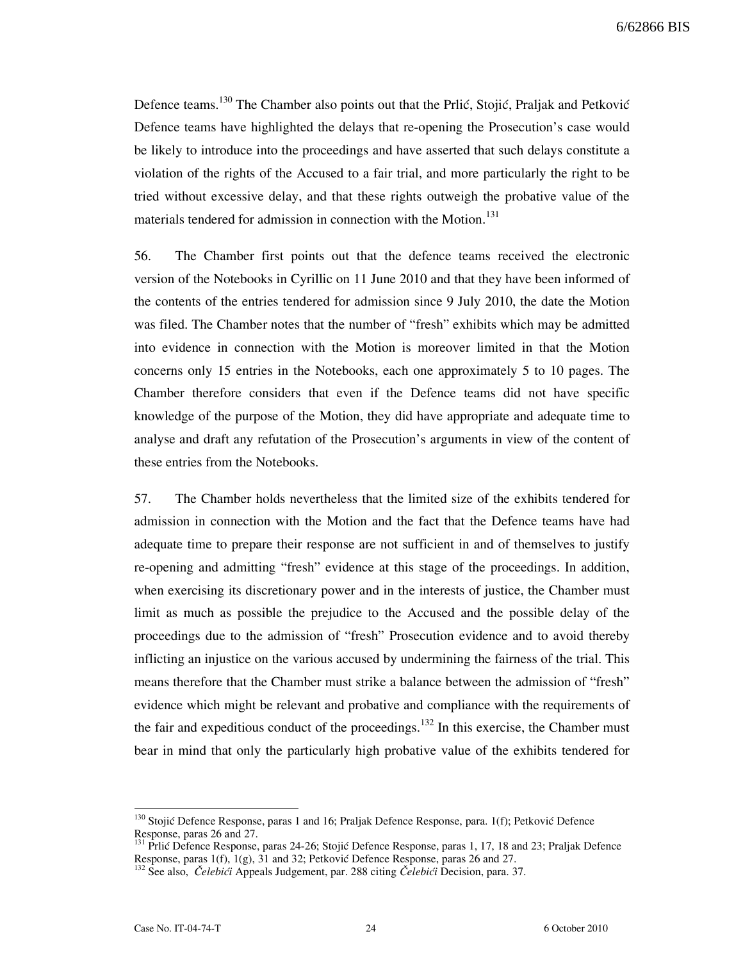Defence teams.<sup>130</sup> The Chamber also points out that the Prlić, Stojić, Praljak and Petković Defence teams have highlighted the delays that re-opening the Prosecution's case would be likely to introduce into the proceedings and have asserted that such delays constitute a violation of the rights of the Accused to a fair trial, and more particularly the right to be tried without excessive delay, and that these rights outweigh the probative value of the materials tendered for admission in connection with the Motion.<sup>131</sup>

56. The Chamber first points out that the defence teams received the electronic version of the Notebooks in Cyrillic on 11 June 2010 and that they have been informed of the contents of the entries tendered for admission since 9 July 2010, the date the Motion was filed. The Chamber notes that the number of "fresh" exhibits which may be admitted into evidence in connection with the Motion is moreover limited in that the Motion concerns only 15 entries in the Notebooks, each one approximately 5 to 10 pages. The Chamber therefore considers that even if the Defence teams did not have specific knowledge of the purpose of the Motion, they did have appropriate and adequate time to analyse and draft any refutation of the Prosecution's arguments in view of the content of these entries from the Notebooks.

57. The Chamber holds nevertheless that the limited size of the exhibits tendered for admission in connection with the Motion and the fact that the Defence teams have had adequate time to prepare their response are not sufficient in and of themselves to justify re-opening and admitting "fresh" evidence at this stage of the proceedings. In addition, when exercising its discretionary power and in the interests of justice, the Chamber must limit as much as possible the prejudice to the Accused and the possible delay of the proceedings due to the admission of "fresh" Prosecution evidence and to avoid thereby inflicting an injustice on the various accused by undermining the fairness of the trial. This means therefore that the Chamber must strike a balance between the admission of "fresh" evidence which might be relevant and probative and compliance with the requirements of the fair and expeditious conduct of the proceedings.<sup>132</sup> In this exercise, the Chamber must bear in mind that only the particularly high probative value of the exhibits tendered for

<sup>&</sup>lt;sup>130</sup> Stojić Defence Response, paras 1 and 16; Praljak Defence Response, para. 1(f); Petković Defence Response, paras 26 and 27.

<sup>131</sup> Prlić Defence Response, paras 24-26; Stojić Defence Response, paras 1, 17, 18 and 23; Praljak Defence Response, paras 1(f), 1(g), 31 and 32; Petković Defence Response, paras 26 and 27.

 $^{132}$  See also, Čelebići Appeals Judgement, par. 288 citing Čelebići Decision, para. 37.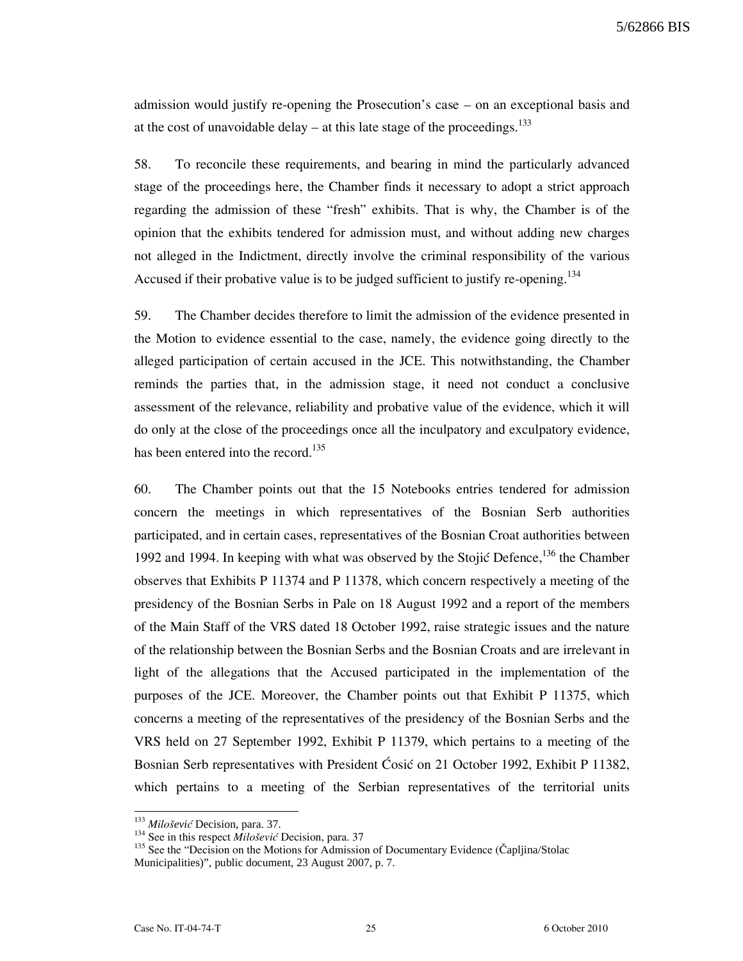5/62866 BIS

admission would justify re-opening the Prosecution's case – on an exceptional basis and at the cost of unavoidable delay – at this late stage of the proceedings. $^{133}$ 

58. To reconcile these requirements, and bearing in mind the particularly advanced stage of the proceedings here, the Chamber finds it necessary to adopt a strict approach regarding the admission of these "fresh" exhibits. That is why, the Chamber is of the opinion that the exhibits tendered for admission must, and without adding new charges not alleged in the Indictment, directly involve the criminal responsibility of the various Accused if their probative value is to be judged sufficient to justify re-opening.<sup>134</sup>

59. The Chamber decides therefore to limit the admission of the evidence presented in the Motion to evidence essential to the case, namely, the evidence going directly to the alleged participation of certain accused in the JCE. This notwithstanding, the Chamber reminds the parties that, in the admission stage, it need not conduct a conclusive assessment of the relevance, reliability and probative value of the evidence, which it will do only at the close of the proceedings once all the inculpatory and exculpatory evidence, has been entered into the record.<sup>135</sup>

60. The Chamber points out that the 15 Notebooks entries tendered for admission concern the meetings in which representatives of the Bosnian Serb authorities participated, and in certain cases, representatives of the Bosnian Croat authorities between 1992 and 1994. In keeping with what was observed by the Stojić Defence, $136$  the Chamber observes that Exhibits P 11374 and P 11378, which concern respectively a meeting of the presidency of the Bosnian Serbs in Pale on 18 August 1992 and a report of the members of the Main Staff of the VRS dated 18 October 1992, raise strategic issues and the nature of the relationship between the Bosnian Serbs and the Bosnian Croats and are irrelevant in light of the allegations that the Accused participated in the implementation of the purposes of the JCE. Moreover, the Chamber points out that Exhibit P 11375, which concerns a meeting of the representatives of the presidency of the Bosnian Serbs and the VRS held on 27 September 1992, Exhibit P 11379, which pertains to a meeting of the Bosnian Serb representatives with President Cosic on 21 October 1992, Exhibit P 11382, which pertains to a meeting of the Serbian representatives of the territorial units

<sup>&</sup>lt;sup>133</sup> Milošević Decision, para. 37.

<sup>&</sup>lt;sup>134</sup> See in this respect *Milošević* Decision, para. 37

<sup>&</sup>lt;sup>135</sup> See the "Decision on the Motions for Admission of Documentary Evidence (Capljina/Stolac Municipalities)", public document, 23 August 2007, p. 7.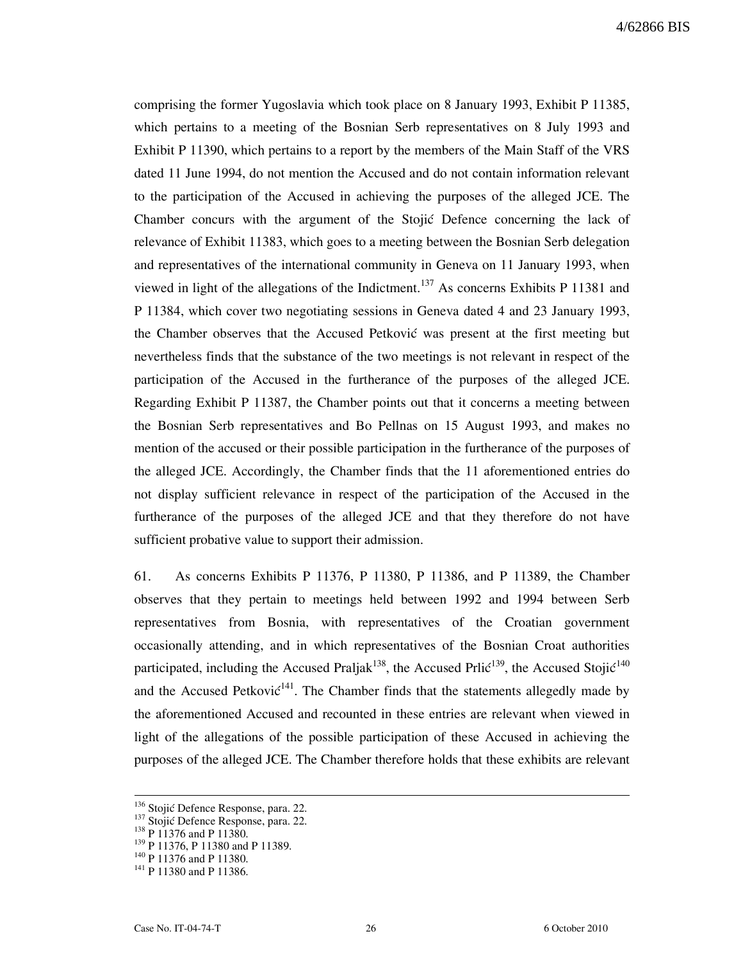comprising the former Yugoslavia which took place on 8 January 1993, Exhibit P 11385, which pertains to a meeting of the Bosnian Serb representatives on 8 July 1993 and Exhibit P 11390, which pertains to a report by the members of the Main Staff of the VRS dated 11 June 1994, do not mention the Accused and do not contain information relevant to the participation of the Accused in achieving the purposes of the alleged JCE. The Chamber concurs with the argument of the Stojić Defence concerning the lack of relevance of Exhibit 11383, which goes to a meeting between the Bosnian Serb delegation and representatives of the international community in Geneva on 11 January 1993, when viewed in light of the allegations of the Indictment.<sup>137</sup> As concerns Exhibits P 11381 and P 11384, which cover two negotiating sessions in Geneva dated 4 and 23 January 1993, the Chamber observes that the Accused Petković was present at the first meeting but nevertheless finds that the substance of the two meetings is not relevant in respect of the participation of the Accused in the furtherance of the purposes of the alleged JCE. Regarding Exhibit P 11387, the Chamber points out that it concerns a meeting between the Bosnian Serb representatives and Bo Pellnas on 15 August 1993, and makes no mention of the accused or their possible participation in the furtherance of the purposes of the alleged JCE. Accordingly, the Chamber finds that the 11 aforementioned entries do not display sufficient relevance in respect of the participation of the Accused in the furtherance of the purposes of the alleged JCE and that they therefore do not have sufficient probative value to support their admission.

61. As concerns Exhibits P 11376, P 11380, P 11386, and P 11389, the Chamber observes that they pertain to meetings held between 1992 and 1994 between Serb representatives from Bosnia, with representatives of the Croatian government occasionally attending, and in which representatives of the Bosnian Croat authorities participated, including the Accused Praljak<sup>138</sup>, the Accused Prlic<sup>139</sup>, the Accused Stojic<sup>140</sup> and the Accused Petkovi $\zeta^{141}$ . The Chamber finds that the statements allegedly made by the aforementioned Accused and recounted in these entries are relevant when viewed in light of the allegations of the possible participation of these Accused in achieving the purposes of the alleged JCE. The Chamber therefore holds that these exhibits are relevant

<sup>&</sup>lt;sup>136</sup> Stojić Defence Response, para. 22.

<sup>137</sup> Stojić Defence Response, para. 22.

 $138 \text{ P } 11376$  and P 11380.

<sup>139</sup> P 11376, P 11380 and P 11389.

<sup>140</sup> P 11376 and P 11380.

<sup>&</sup>lt;sup>141</sup> P 11380 and P 11386.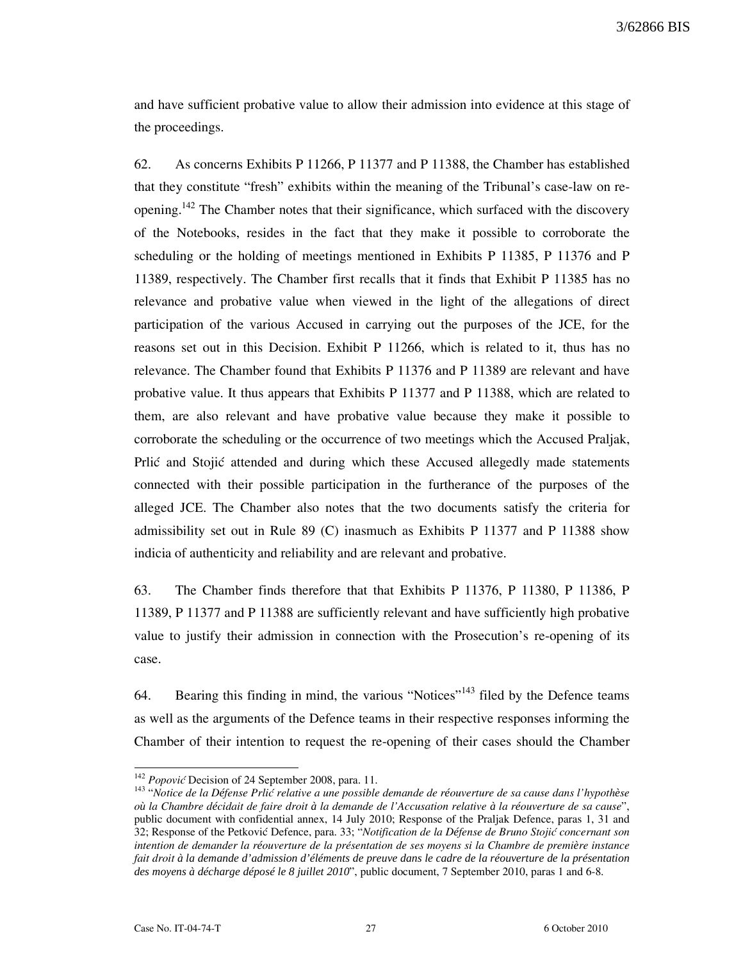and have sufficient probative value to allow their admission into evidence at this stage of the proceedings.

62. As concerns Exhibits P 11266, P 11377 and P 11388, the Chamber has established that they constitute "fresh" exhibits within the meaning of the Tribunal's case-law on reopening.<sup>142</sup> The Chamber notes that their significance, which surfaced with the discovery of the Notebooks, resides in the fact that they make it possible to corroborate the scheduling or the holding of meetings mentioned in Exhibits P 11385, P 11376 and P 11389, respectively. The Chamber first recalls that it finds that Exhibit P 11385 has no relevance and probative value when viewed in the light of the allegations of direct participation of the various Accused in carrying out the purposes of the JCE, for the reasons set out in this Decision. Exhibit P 11266, which is related to it, thus has no relevance. The Chamber found that Exhibits P 11376 and P 11389 are relevant and have probative value. It thus appears that Exhibits P 11377 and P 11388, which are related to them, are also relevant and have probative value because they make it possible to corroborate the scheduling or the occurrence of two meetings which the Accused Praljak, Prlic and Stojic attended and during which these Accused allegedly made statements connected with their possible participation in the furtherance of the purposes of the alleged JCE. The Chamber also notes that the two documents satisfy the criteria for admissibility set out in Rule 89 (C) inasmuch as Exhibits P 11377 and P 11388 show indicia of authenticity and reliability and are relevant and probative.

63. The Chamber finds therefore that that Exhibits P 11376, P 11380, P 11386, P 11389, P 11377 and P 11388 are sufficiently relevant and have sufficiently high probative value to justify their admission in connection with the Prosecution's re-opening of its case.

64. Bearing this finding in mind, the various "Notices"<sup>143</sup> filed by the Defence teams as well as the arguments of the Defence teams in their respective responses informing the Chamber of their intention to request the re-opening of their cases should the Chamber

 $142$  *Popović* Decision of 24 September 2008, para. 11.

<sup>&</sup>lt;sup>143</sup> "Notice de la Défense Prlic relative a une possible demande de réouverture de sa cause dans l'hypothèse o*ù* la Chambre d*é*cidait de faire droit *à* la demande de l'Accusation relative *à* la r*é*ouverture de sa cause", public document with confidential annex, 14 July 2010; Response of the Praljak Defence, paras 1, 31 and 32; Response of the Petković Defence, para. 33; "Notification de la Défense de Bruno Stojić concernant son intention de demander la r*é*ouverture de la présentation de ses moyens si la Chambre de premi*è*re instance fait droit *à la demande d'admission d'éléments de preuve dans le cadre de la réouverture de la présentation des moyens à décharge déposé le 8 juillet 2010*", public document, 7 September 2010, paras 1 and 6-8.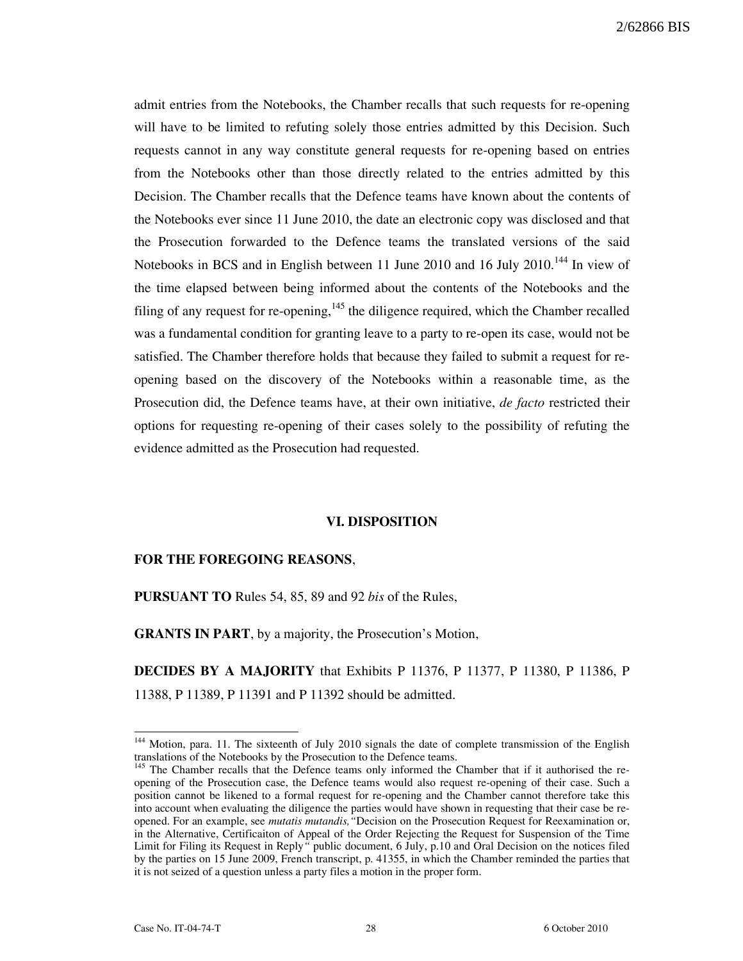admit entries from the Notebooks, the Chamber recalls that such requests for re-opening will have to be limited to refuting solely those entries admitted by this Decision. Such requests cannot in any way constitute general requests for re-opening based on entries from the Notebooks other than those directly related to the entries admitted by this Decision. The Chamber recalls that the Defence teams have known about the contents of the Notebooks ever since 11 June 2010, the date an electronic copy was disclosed and that the Prosecution forwarded to the Defence teams the translated versions of the said Notebooks in BCS and in English between 11 June 2010 and 16 July 2010.<sup>144</sup> In view of the time elapsed between being informed about the contents of the Notebooks and the filing of any request for re-opening,  $145$  the diligence required, which the Chamber recalled was a fundamental condition for granting leave to a party to re-open its case, would not be satisfied. The Chamber therefore holds that because they failed to submit a request for reopening based on the discovery of the Notebooks within a reasonable time, as the Prosecution did, the Defence teams have, at their own initiative, *de facto* restricted their options for requesting re-opening of their cases solely to the possibility of refuting the evidence admitted as the Prosecution had requested.

#### VI. DISPOSITION

## FOR THE FOREGOING REASONS,

PURSUANT TO Rules 54, 85, 89 and 92 bis of the Rules,

GRANTS IN PART, by a majority, the Prosecution's Motion,

DECIDES BY A MAJORITY that Exhibits P 11376, P 11377, P 11380, P 11386, P 11388, P 11389, P 11391 and P 11392 should be admitted.

<sup>&</sup>lt;sup>144</sup> Motion, para. 11. The sixteenth of July 2010 signals the date of complete transmission of the English translations of the Notebooks by the Prosecution to the Defence teams.

<sup>&</sup>lt;sup>145</sup> The Chamber recalls that the Defence teams only informed the Chamber that if it authorised the reopening of the Prosecution case, the Defence teams would also request re-opening of their case. Such a position cannot be likened to a formal request for re-opening and the Chamber cannot therefore take this into account when evaluating the diligence the parties would have shown in requesting that their case be reopened. For an example, see *mutatis mutandis*, "Decision on the Prosecution Request for Reexamination or, in the Alternative, Certificaiton of Appeal of the Order Rejecting the Request for Suspension of the Time Limit for Filing its Request in Reply" public document, 6 July, p.10 and Oral Decision on the notices filed by the parties on 15 June 2009, French transcript, p. 41355, in which the Chamber reminded the parties that it is not seized of a question unless a party files a motion in the proper form.